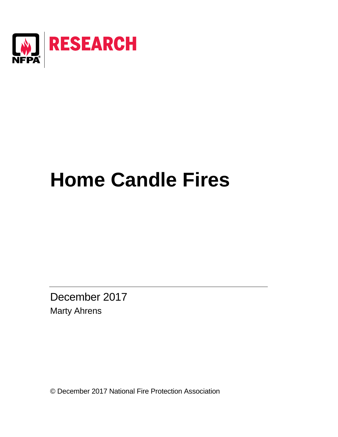

# **Home Candle Fires**

December 2017 Marty Ahrens

© December 2017 National Fire Protection Association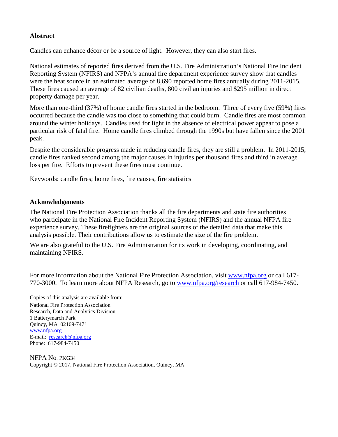# **Abstract**

Candles can enhance décor or be a source of light. However, they can also start fires.

National estimates of reported fires derived from the U.S. Fire Administration's National Fire Incident Reporting System (NFIRS) and NFPA's annual fire department experience survey show that candles were the heat source in an estimated average of 8,690 reported home fires annually during 2011-2015. These fires caused an average of 82 civilian deaths, 800 civilian injuries and \$295 million in direct property damage per year.

More than one-third (37%) of home candle fires started in the bedroom. Three of every five (59%) fires occurred because the candle was too close to something that could burn. Candle fires are most common around the winter holidays. Candles used for light in the absence of electrical power appear to pose a particular risk of fatal fire. Home candle fires climbed through the 1990s but have fallen since the 2001 peak.

Despite the considerable progress made in reducing candle fires, they are still a problem. In 2011-2015, candle fires ranked second among the major causes in injuries per thousand fires and third in average loss per fire. Efforts to prevent these fires must continue.

Keywords: candle fires; home fires, fire causes, fire statistics

### **Acknowledgements**

The National Fire Protection Association thanks all the fire departments and state fire authorities who participate in the National Fire Incident Reporting System (NFIRS) and the annual NFPA fire experience survey. These firefighters are the original sources of the detailed data that make this analysis possible. Their contributions allow us to estimate the size of the fire problem.

We are also grateful to the U.S. Fire Administration for its work in developing, coordinating, and maintaining NFIRS.

For more information about the National Fire Protection Association, visit [www.nfpa.org](http://www.nfpa.org/) or call 617-770-3000. To learn more about NFPA Research, go to [www.nfpa.org/research](http://www.nfpa.org/research) or call 617-984-7450.

Copies of this analysis are available from: National Fire Protection Association Research, Data and Analytics Division 1 Batterymarch Park Quincy, MA 02169-7471 [www.nfpa.org](http://www.nfpa.org/)  E-mail: [research@nfpa.org](mailto:research@nfpa.org) Phone: 617-984-7450

NFPA No. PKG34 Copyright © 2017, National Fire Protection Association, Quincy, MA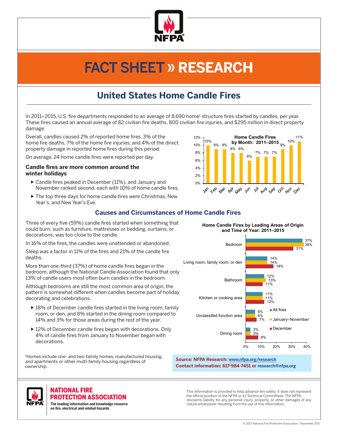

# FACT SHEET » **RESEARCH**

# **United States Home Candle Fires**

In 2011–2015, U.S. fire departments responded to an average of 8,690 home<sup>1</sup> structure fires started by candles, per year. These fires caused an annual average of 82 civilian fire deaths, 800 civilian fire injuries, and \$295 million in direct property damage.

Overall, candles caused 2% of reported home fires, 3% of the home fire deaths, 7% of the home fire injuries, and 4% of the direct property damage in reported home fires during this period.

On average, 24 home candle fires were reported per day.

#### **Candle fires are more common around the winter holidays**

- $\triangleright$  Candle fires peaked in December (11%), and January and November ranked second, each with 10% of home candle fires.
- $\blacktriangleright$  The top three days for home candle fires were Christmas, New Year's, and New Year's Eve.



# **Causes and Circumstances of Home Candle Fires**

Three of every five (59%) candle fires started when something that could burn, such as furniture, mattresses or bedding, curtains, or decorations, was too close to the candle.

In 16% of the fires, the candles were unattended or abandoned.

Sleep was a factor in 11% of the fires and 21% of the candle fire deaths.

More than one-third (37%) of home candle fires began in the bedroom, although the National Candle Association found that only 13% of candle users most often burn candles in the bedroom.

Although bedrooms are still the most common area of origin, the pattern is somewhat different when candles become part of holiday decorating and celebrations.

- $\triangleright$  18% of December candle fires started in the living room, family room, or den, and 8% started in the dining room compared to 14% and 3% for those areas during the rest of the year.
- $\triangleright$  12% of December candle fires began with decorations. Only 4% of candle fires from January to November began with decorations.

1 Homes include one- and two-family homes, manufactured housing, and apartments or other multi-family housing regardless of ownership.

**Home Candle Fires by Leading Areas of Origin and Time of Year: 2011–2015**



#### **Source: NFPA Research: [www.nfpa.org/research](http://www.nfpa.org/News-and-Research/Fire-statistics-and-reports/Fire-statistics/Fire-causes/Candles) Contact information: 617-984-7451 or research@nfpa.org**

This information is provided to help advance fire safety. It does not represent the official position of the NFPA or its Technical Committees. The NFPA disclaims liability for any personal injury, property, or other damages of any nature whatsoever resulting from the use of this information.



# **IATIONAL FIRE** PROTECTION ASSOCIATION

**The leading information and knowledge resource on re, electrical and related hazards**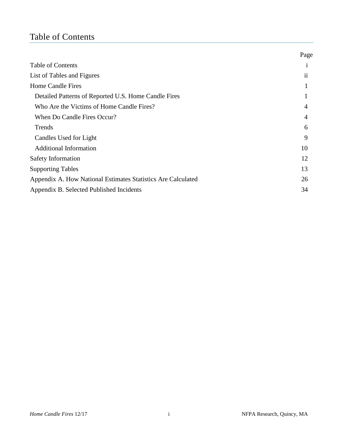# <span id="page-3-0"></span>Table of Contents

|                                                              | Page           |
|--------------------------------------------------------------|----------------|
| <b>Table of Contents</b>                                     | 1              |
| List of Tables and Figures                                   | ii             |
| Home Candle Fires                                            |                |
| Detailed Patterns of Reported U.S. Home Candle Fires         | 1              |
| Who Are the Victims of Home Candle Fires?                    | $\overline{4}$ |
| When Do Candle Fires Occur?                                  | 4              |
| Trends                                                       | 6              |
| Candles Used for Light                                       | 9              |
| <b>Additional Information</b>                                | 10             |
| Safety Information                                           | 12             |
| <b>Supporting Tables</b>                                     | 13             |
| Appendix A. How National Estimates Statistics Are Calculated | 26             |
| Appendix B. Selected Published Incidents                     | 34             |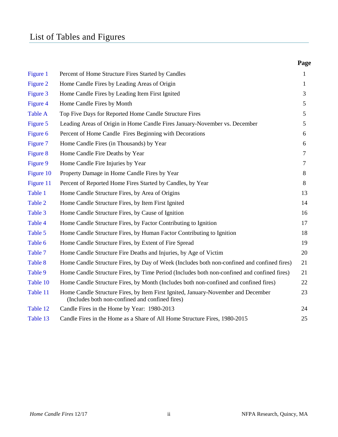# <span id="page-4-0"></span>List of Tables and Figures

|                |                                                                                                                                      | Page |
|----------------|--------------------------------------------------------------------------------------------------------------------------------------|------|
| Figure 1       | Percent of Home Structure Fires Started by Candles                                                                                   | 1    |
| Figure 2       | Home Candle Fires by Leading Areas of Origin                                                                                         | 1    |
| Figure 3       | Home Candle Fires by Leading Item First Ignited                                                                                      | 3    |
| Figure 4       | Home Candle Fires by Month                                                                                                           | 5    |
| <b>Table A</b> | Top Five Days for Reported Home Candle Structure Fires                                                                               | 5    |
| Figure 5       | Leading Areas of Origin in Home Candle Fires January-November vs. December                                                           | 5    |
| Figure 6       | Percent of Home Candle Fires Beginning with Decorations                                                                              | 6    |
| Figure 7       | Home Candle Fires (in Thousands) by Year                                                                                             | 6    |
| Figure 8       | Home Candle Fire Deaths by Year                                                                                                      | 7    |
| Figure 9       | Home Candle Fire Injuries by Year                                                                                                    | 7    |
| Figure 10      | Property Damage in Home Candle Fires by Year                                                                                         | 8    |
| Figure 11      | Percent of Reported Home Fires Started by Candles, by Year                                                                           | 8    |
| Table 1        | Home Candle Structure Fires, by Area of Origins                                                                                      | 13   |
| Table 2        | Home Candle Structure Fires, by Item First Ignited                                                                                   | 14   |
| Table 3        | Home Candle Structure Fires, by Cause of Ignition                                                                                    | 16   |
| Table 4        | Home Candle Structure Fires, by Factor Contributing to Ignition                                                                      | 17   |
| Table 5        | Home Candle Structure Fires, by Human Factor Contributing to Ignition                                                                | 18   |
| Table 6        | Home Candle Structure Fires, by Extent of Fire Spread                                                                                | 19   |
| Table 7        | Home Candle Structure Fire Deaths and Injuries, by Age of Victim                                                                     | 20   |
| Table 8        | Home Candle Structure Fires, by Day of Week (Includes both non-confined and confined fires)                                          | 21   |
| Table 9        | Home Candle Structure Fires, by Time Period (Includes both non-confined and confined fires)                                          | 21   |
| Table 10       | Home Candle Structure Fires, by Month (Includes both non-confined and confined fires)                                                | 22   |
| Table 11       | Home Candle Structure Fires, by Item First Ignited, January-November and December<br>(Includes both non-confined and confined fires) | 23   |
| Table 12       | Candle Fires in the Home by Year: 1980-2013                                                                                          | 24   |
| Table 13       | Candle Fires in the Home as a Share of All Home Structure Fires, 1980-2015                                                           | 25   |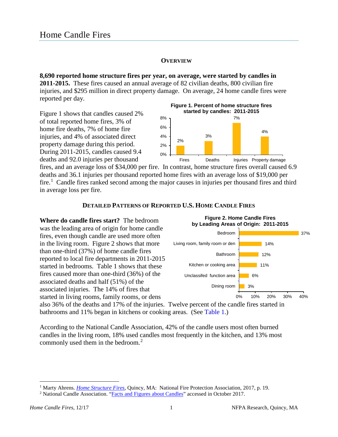# **OVERVIEW**

<span id="page-5-2"></span><span id="page-5-0"></span>**8,690 reported home structure fires per year, on average, were started by candles in 2011-2015.** These fires caused an annual average of 82 civilian deaths, 800 civilian fire injuries, and \$295 million in direct property damage. On average, 24 home candle fires were reported per day.

Figure 1 shows that candles caused 2% of total reported home fires, 3% of home fire deaths, 7% of home fire injuries, and 4% of associated direct property damage during this period. During 2011-2015, candles caused 9.4 deaths and 92.0 injuries per thousand



fires, and an average loss of \$34,000 per fire. In contrast, home structure fires overall caused 6.9 deaths and 36.1 injuries per thousand reported home fires with an average loss of \$19,000 per fire.<sup>[1](#page-5-3)</sup> Candle fires ranked second among the major causes in injuries per thousand fires and third in average loss per fire.

# **DETAILED PATTERNS OF REPORTED U.S. HOME CANDLE FIRES**

<span id="page-5-1"></span>**Where do candle fires start?** The bedroom was the leading area of origin for home candle fires, even though candle are used more often in the living room.Figure 2 shows that more than one-third (37%) of home candle fires reported to local fire departments in 2011-2015 started in bedrooms. Table 1 shows that these fires caused more than one-third (36%) of the associated deaths and half (51%) of the associated injuries. The 14% of fires that started in living rooms, family rooms, or dens



also 36% of the deaths and 17% of the injuries. Twelve percent of the candle fires started in bathrooms and 11% began in kitchens or cooking areas. (See [Table 1.](#page-17-1))

According to the National Candle Association, 42% of the candle users most often burned candles in the living room, 18% used candles most frequently in the kitchen, and 13% most commonly used them in the bedroom.<sup>[2](#page-5-4)</sup>

<span id="page-5-3"></span><sup>&</sup>lt;sup>1</sup> Marty Ahrens. *Home Structure Fires*, Quincy, MA: National Fire Protection Association, 2017, p. 19. <sup>2</sup> National Candle Association. ["Facts and Figures about Candles"](http://candles.org/facts-figures-2/) accessed in October 2017.

<span id="page-5-4"></span>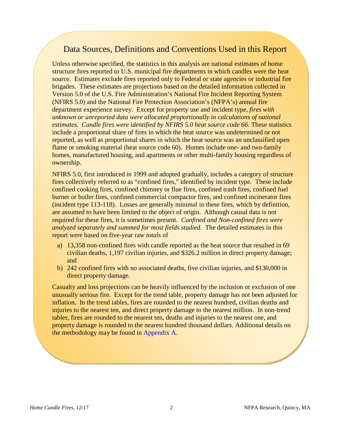# Data Sources, Definitions and Conventions Used in this Report

Unless otherwise specified, the statistics in this analysis are national estimates of home structure fires reported to U.S. municipal fire departments in which candles were the heat source. Estimates exclude fires reported only to Federal or state agencies or industrial fire brigades. These estimates are projections based on the detailed information collected in Version 5.0 of the U.S. Fire Administration's National Fire Incident Reporting System (NFIRS 5.0) and the National Fire Protection Association's (NFPA's) annual fire department experience survey. Except for property use and incident type, *fires with unknown or unreported data were allocated proportionally in calculations of national estimates. Candle fires were identified by NFIRS 5.0 heat source code 66*. These statistics include a proportional share of fires in which the heat source was undetermined or not reported, as well as proportional shares in which the heat source was an unclassified open flame or smoking material (heat source code 60). Homes include one- and two-family homes, manufactured housing, and apartments or other multi-family housing regardless of ownership.

NFIRS 5.0, first introduced in 1999 and adopted gradually, includes a category of structure fires collectively referred to as "confined fires," identified by incident type. These include confined cooking fires, confined chimney or flue fires, confined trash fires, confined fuel burner or boiler fires, confined commercial compactor fires, and confined incinerator fires (incident type 113-118). Losses are generally minimal in these fires, which by definition, are assumed to have been limited to the object of origin. Although causal data is not required for these fires, it is sometimes present. *Confined and Non-confined fires were analyzed separately and summed for most fields studied.* The detailed estimates in this report were based on five-year raw *totals* of

- a) 13,358 non-confined fires with candle reported as the heat source that resulted in 69 civilian deaths, 1,197 civilian injuries, and \$326.2 million in direct property damage; and
- b) 242 confined fires with no associated deaths, five civilian injuries, and \$130,000 in direct property damage.

Casualty and loss projections can be heavily influenced by the inclusion or exclusion of one unusually serious fire. Except for the trend table, property damage has not been adjusted for inflation. In the trend tables, fires are rounded to the nearest hundred, civilian deaths and injuries to the nearest ten, and direct property damage to the nearest million. In non-trend tables, fires are rounded to the nearest ten, deaths and injuries to the nearest one, and property damage is rounded to the nearest hundred thousand dollars. Additional details on the methodology may be found in [Appendix A.](#page-30-1)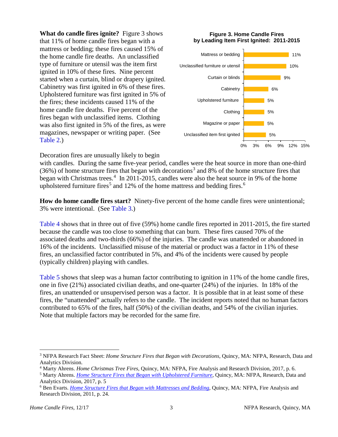<span id="page-7-0"></span>**What do candle fires ignite?** Figure 3 shows that 11% of home candle fires began with a mattress or bedding; these fires caused 15% of the home candle fire deaths. An unclassified type of furniture or utensil was the item first ignited in 10% of these fires. Nine percent started when a curtain, blind or drapery ignited. Cabinetry was first ignited in 6% of these fires. Upholstered furniture was first ignited in 5% of the fires; these incidents caused 11% of the home candle fire deaths. Five percent of the fires began with unclassified items. Clothing was also first ignited in 5% of the fires, as were magazines, newspaper or writing paper. (See [Table 2.](#page-18-0))

#### **Figure 3. Home Candle Fires by Leading Item First Ignited: 2011-2015**



Decoration fires are unusually likely to begin

with candles. During the same five-year period, candles were the heat source in more than one-third  $(36%)$  $(36%)$  $(36%)$  of home structure fires that began with decorations<sup>3</sup> and 8% of the home structure fires that began with Christmas trees.<sup>[4](#page-7-2)</sup> In 2011-2015, candles were also the heat source in 9% of the home upholstered furniture fires<sup>[5](#page-7-3)</sup> and 12% of the home mattress and bedding fires.<sup>[6](#page-7-4)</sup>

**How do home candle fires start?** Ninety-five percent of the home candle fires were unintentional; 3% were intentional. (See [Table 3.\)](#page-20-0)

[Table 4](#page-21-0) shows that in three out of five (59%) home candle fires reported in 2011-2015, the fire started because the candle was too close to something that can burn. These fires caused 70% of the associated deaths and two-thirds (66%) of the injuries. The candle was unattended or abandoned in 16% of the incidents. Unclassified misuse of the material or product was a factor in 11% of these fires, an unclassified factor contributed in 5%, and 4% of the incidents were caused by people (typically children) playing with candles.

[Table 5](#page-22-0) shows that sleep was a human factor contributing to ignition in 11% of the home candle fires, one in five (21%) associated civilian deaths, and one-quarter (24%) of the injuries. In 18% of the fires, an unattended or unsupervised person was a factor. It is possible that in at least some of these fires, the "unattended" actually refers to the candle. The incident reports noted that no human factors contributed to 65% of the fires, half (50%) of the civilian deaths, and 54% of the civilian injuries. Note that multiple factors may be recorded for the same fire.

<span id="page-7-1"></span><sup>3</sup> NFPA Research Fact Sheet: *Home Structure Fires that Began with Decorations,* Quincy, MA: NFPA, Research, Data and Analytics Division.<br><sup>4</sup> Marty Ahrens. *Home Christmas Tree Fires*, Quincy, MA: NFPA, Fire Analysis and Research Division, 2017, p. 6.<br><sup>5</sup> Marty Ahrens. *Home Structure Fires that Began with Upholstered Furniture*, Quincy,

<span id="page-7-2"></span>

<span id="page-7-3"></span>Analytics Division, 2017, p. 5

<span id="page-7-4"></span><sup>6</sup> Ben Evarts. *[Home Structure Fires that Began with Mattresses and Bedding,](http://www.nfpa.org/-/media/Files/News-and-Research/Fire-statistics/Major-Causes/OSbedding.ashx?la=en&hash=72D5675FB75D4A24D14D2602ED4B17FA926AE078)* Quincy, MA: NFPA, Fire Analysis and Research Division, 2011, p. 24.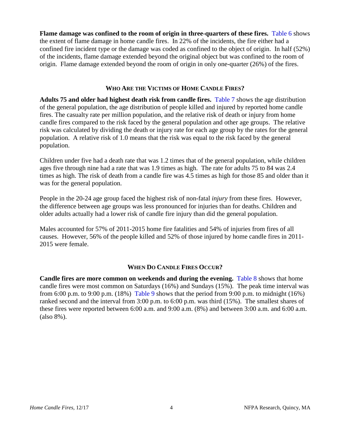Flame damage was confined to the room of origin in three-quarters of these fires. [Table 6](#page-23-0) shows the extent of flame damage in home candle fires. In 22% of the incidents, the fire either had a confined fire incident type or the damage was coded as confined to the object of origin. In half (52%) of the incidents, flame damage extended beyond the original object but was confined to the room of origin. Flame damage extended beyond the room of origin in only one-quarter (26%) of the fires.

# **WHO ARE THE VICTIMS OF HOME CANDLE FIRES?**

<span id="page-8-0"></span>**Adults 75 and older had highest death risk from candle fires.** [Table 7](#page-24-0) shows the age distribution of the general population, the age distribution of people killed and injured by reported home candle fires. The casualty rate per million population, and the relative risk of death or injury from home candle fires compared to the risk faced by the general population and other age groups. The relative risk was calculated by dividing the death or injury rate for each age group by the rates for the general population. A relative risk of 1.0 means that the risk was equal to the risk faced by the general population.

Children under five had a death rate that was 1.2 times that of the general population, while children ages five through nine had a rate that was 1.9 times as high. The rate for adults 75 to 84 was 2.4 times as high. The risk of death from a candle fire was 4.5 times as high for those 85 and older than it was for the general population.

People in the 20-24 age group faced the highest risk of non-fatal *injury* from these fires. However, the difference between age groups was less pronounced for injuries than for deaths. Children and older adults actually had a lower risk of candle fire injury than did the general population.

Males accounted for 57% of 2011-2015 home fire fatalities and 54% of injuries from fires of all causes. However, 56% of the people killed and 52% of those injured by home candle fires in 2011- 2015 were female.

# **WHEN DO CANDLE FIRES OCCUR?**

<span id="page-8-1"></span>**Candle fires are more common on weekends and during the evening.** [Table 8](#page-25-0) shows that home candle fires were most common on Saturdays (16%) and Sundays (15%). The peak time interval was from 6:00 p.m. to 9:00 p.m.  $(18%)$  [Table 9](#page-25-0) shows that the period from 9:00 p.m. to midnight  $(16%)$ ranked second and the interval from 3:00 p.m. to 6:00 p.m. was third (15%). The smallest shares of these fires were reported between 6:00 a.m. and 9:00 a.m. (8%) and between 3:00 a.m. and 6:00 a.m. (also 8%).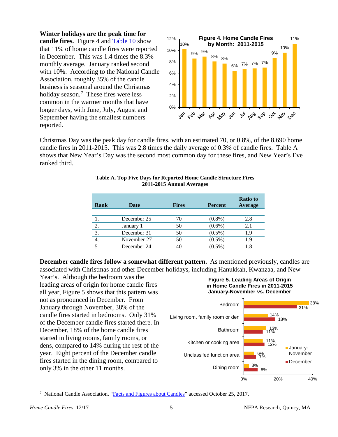<span id="page-9-0"></span>**Winter holidays are the peak time for** 

**candle fires.** Figure 4 and [Table 10](#page-26-0) show that 11% of home candle fires were reported in December. This was 1.4 times the 8.3% monthly average. January ranked second with 10%. According to the National Candle Association, roughly 35% of the candle business is seasonal around the Christmas holiday season.<sup>[7](#page-9-1)</sup> These fires were less common in the warmer months that have longer days, with June, July, August and September having the smallest numbers reported.



Christmas Day was the peak day for candle fires, with an estimated 70, or 0.8%, of the 8,690 home candle fires in 2011-2015. This was 2.8 times the daily average of 0.3% of candle fires. Table A shows that New Year's Day was the second most common day for these fires, and New Year's Eve ranked third.

| Rank | <b>Date</b> | <b>Fires</b> | <b>Percent</b> | <b>Ratio to</b><br>Average |
|------|-------------|--------------|----------------|----------------------------|
|      |             |              |                |                            |
|      | December 25 | 70           | $(0.8\%)$      | 2.8                        |
| 2.   | January 1   | 50           | $(0.6\%)$      | 2.1                        |
| 3.   | December 31 | 50           | $(0.5\%)$      | 1.9                        |
| 4.   | November 27 | 50           | $(0.5\%)$      | 1.9                        |
|      | December 24 | 40           | $(0.5\%)$      | 1.8                        |

**Table A. Top Five Days for Reported Home Candle Structure Fires 2011-2015 Annual Averages**

**December candle fires follow a somewhat different pattern.** As mentioned previously, candles are associated with Christmas and other December holidays, including Hanukkah, Kwanzaa, and New

Year's. Although the bedroom was the leading areas of origin for home candle fires all year, Figure 5 shows that this pattern was not as pronounced in December. From January through November, 38% of the candle fires started in bedrooms. Only 31% of the December candle fires started there. In December, 18% of the home candle fires started in living rooms, family rooms, or dens, compared to 14% during the rest of the year. Eight percent of the December candle fires started in the dining room, compared to only 3% in the other 11 months.





<span id="page-9-1"></span><sup>&</sup>lt;sup>7</sup> National Candle Association. "**Facts and Figures about Candles**" accessed October 25, 2017.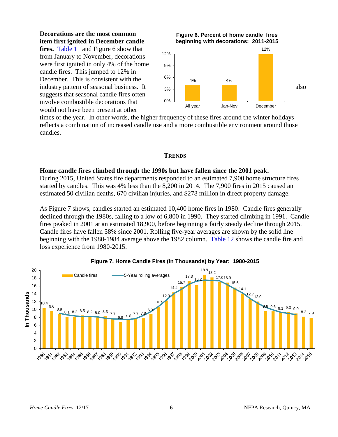**Decorations are the most common item first ignited in December candle** 

**fires.** [Table 11](#page-27-0) and Figure 6 show that from January to November, decorations were first ignited in only 4% of the home candle fires. This jumped to 12% in December. This is consistent with the suggests that seasonal candle fires often involve combustible decorations that would not have been present at other

<span id="page-10-1"></span>

times of the year. In other words, the higher frequency of these fires around the winter holidays reflects a combination of increased candle use and a more combustible environment around those candles.

#### **TRENDS**

#### <span id="page-10-0"></span>**Home candle fires climbed through the 1990s but have fallen since the 2001 peak.**

During 2015, United States fire departments responded to an estimated 7,900 home structure fires started by candles. This was 4% less than the 8,200 in 2014. The 7,900 fires in 2015 caused an estimated 50 civilian deaths, 670 civilian injuries, and \$278 million in direct property damage.

As Figure 7 shows, candles started an estimated 10,400 home fires in 1980. Candle fires generally declined through the 1980s, falling to a low of 6,800 in 1990. They started climbing in 1991. Candle fires peaked in 2001 at an estimated 18,900, before beginning a fairly steady decline through 2015. Candle fires have fallen 58% since 2001. Rolling five-year averages are shown by the solid line beginning with the 1980-1984 average above the 1982 column. [Table 12](#page-28-0) shows the candle fire and loss experience from 1980-2015.



#### **Figure 7. Home Candle Fires (in Thousands) by Year: 1980-2015**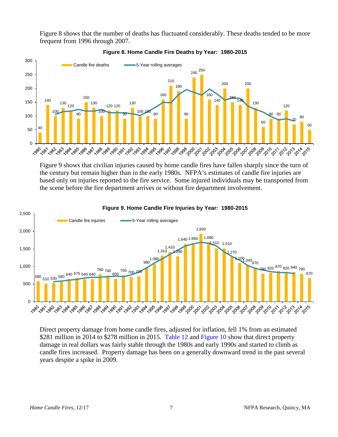<span id="page-11-0"></span>Figure 8 shows that the number of deaths has fluctuated considerably. These deaths tended to be more frequent from 1996 through 2007.



**Figure 8. Home Candle Fire Deaths by Year: 1980-2015**

Figure 9 shows that civilian injuries caused by home candle fires have fallen sharply since the turn of the century but remain higher than in the early 1980s. NFPA's estimates of candle fire injuries are based only on injuries reported to the fire service. Some injured individuals may be transported from the scene before the fire department arrives or without fire department involvement.



#### **Figure 9. Home Candle Fire Injuries by Year: 1980-2015**

Direct property damage from home candle fires, adjusted for inflation, fell 1% from an estimated \$281 million in 2014 to \$278 million in 2015. [Table 12](#page-28-0) and [Figure 10](#page-12-0) show that direct property damage in real dollars was fairly stable through the 1980s and early 1990s and started to climb as candle fires increased. Property damage has been on a generally downward trend in the past several years despite a spike in 2009.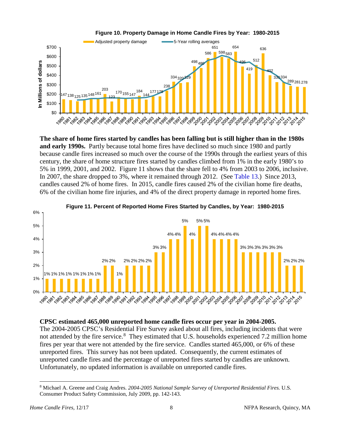<span id="page-12-0"></span>

**The share of home fires started by candles has been falling but is still higher than in the 1980s and early 1990s.** Partly because total home fires have declined so much since 1980 and partly because candle fires increased so much over the course of the 1990s through the earliest years of this century, the share of home structure fires started by candles climbed from 1% in the early 1980's to 5% in 1999, 2001, and 2002. Figure 11 shows that the share fell to 4% from 2003 to 2006, inclusive. In 2007, the share dropped to 3%, where it remained through 2012. (See [Table 13.](#page-29-0)) Since 2013, candles caused 2% of home fires. In 2015, candle fires caused 2% of the civilian home fire deaths, 6% of the civilian home fire injuries, and 4% of the direct property damage in reported home fires*.*



## **Figure 11. Percent of Reported Home Fires Started by Candles, by Year: 1980-2015**

# **CPSC estimated 465,000 unreported home candle fires occur per year in 2004-2005.**

The 2004-2005 CPSC's Residential Fire Survey asked about all fires, including incidents that were not attended by the fire service.<sup>[8](#page-12-1)</sup> They estimated that U.S. households experienced 7.2 million home fires per year that were not attended by the fire service. Candles started 465,000, or 6% of these unreported fires. This survey has not been updated. Consequently, the current estimates of unreported candle fires and the percentage of unreported fires started by candles are unknown. Unfortunately, no updated information is available on unreported candle fires.

<span id="page-12-1"></span> $\overline{a}$ <sup>8</sup> Michael A. Greene and Craig Andres. *2004-2005 National Sample Survey of Unreported Residential Fires.* U.S. Consumer Product Safety Commission, July 2009, pp. 142-143.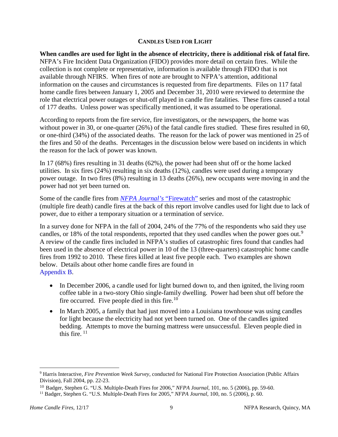# **CANDLES USED FOR LIGHT**

<span id="page-13-0"></span>**When candles are used for light in the absence of electricity, there is additional risk of fatal fire.**  NFPA's Fire Incident Data Organization (FIDO) provides more detail on certain fires. While the collection is not complete or representative, information is available through FIDO that is not available through NFIRS. When fires of note are brought to NFPA's attention, additional information on the causes and circumstances is requested from fire departments. Files on 117 fatal home candle fires between January 1, 2005 and December 31, 2010 were reviewed to determine the role that electrical power outages or shut-off played in candle fire fatalities. These fires caused a total of 177 deaths. Unless power was specifically mentioned, it was assumed to be operational.

According to reports from the fire service, fire investigators, or the newspapers, the home was without power in 30, or one-quarter (26%) of the fatal candle fires studied. These fires resulted in 60, or one-third (34%) of the associated deaths. The reason for the lack of power was mentioned in 25 of the fires and 50 of the deaths. Percentages in the discussion below were based on incidents in which the reason for the lack of power was known.

In 17 (68%) fires resulting in 31 deaths (62%), the power had been shut off or the home lacked utilities. In six fires (24%) resulting in six deaths (12%), candles were used during a temporary power outage. In two fires (8%) resulting in 13 deaths (26%), new occupants were moving in and the power had not yet been turned on.

Some of the candle fires from *[NFPA Journal's](http://www.nfpa.org/archivedjournalhome.asp?categoryID=2722)* "Firewatch" series and most of the catastrophic (multiple fire death) candle fires at the back of this report involve candles used for light due to lack of power, due to either a temporary situation or a termination of service.

In a survey done for NFPA in the fall of 2004, 24% of the 77% of the respondents who said they use candles, or 18% of the total respondents, reported that they used candles when the power goes out.<sup>[9](#page-13-1)</sup> A review of the candle fires included in NFPA's studies of catastrophic fires found that candles had been used in the absence of electrical power in 10 of the 13 (three-quarters) catastrophic home candle fires from 1992 to 2010. These fires killed at least five people each. Two examples are shown below. Details about other home candle fires are found in [Appendix B.](#page-38-1) 

- In December 2006, a candle used for light burned down to, and then ignited, the living room coffee table in a two-story Ohio single-family dwelling. Power had been shut off before the fire occurred. Five people died in this fire. $10$
- In March 2005, a family that had just moved into a Louisiana townhouse was using candles for light because the electricity had not yet been turned on. One of the candles ignited bedding. Attempts to move the burning mattress were unsuccessful. Eleven people died in this fire.  $11$

<span id="page-13-1"></span><sup>9</sup> Harris Interactive, *Fire Prevention Week Survey,* conducted for National Fire Protection Association (Public Affairs Division), Fall 2004, pp. 22-23.

<span id="page-13-2"></span><sup>10</sup> Badger, Stephen G. "U.S. Multiple-Death Fires for 2006," *NFPA Journal,* 101, no. 5 (2006), pp. 59-60.

<span id="page-13-3"></span><sup>11</sup> Badger, Stephen G. "U.S. Multiple-Death Fires for 2005," *NFPA Journal,* 100, no. 5 (2006), p. 60.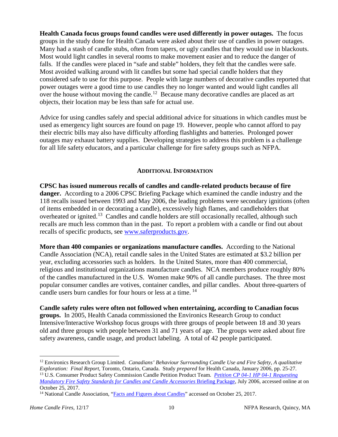**Health Canada focus groups found candles were used differently in power outages.** The focus groups in the study done for Health Canada were asked about their use of candles in power outages. Many had a stash of candle stubs, often from tapers, or ugly candles that they would use in blackouts. Most would light candles in several rooms to make movement easier and to reduce the danger of falls. If the candles were placed in "safe and stable" holders, they felt that the candles were safe. Most avoided walking around with lit candles but some had special candle holders that they considered safe to use for this purpose. People with large numbers of decorative candles reported that power outages were a good time to use candles they no longer wanted and would light candles all over the house without moving the candle.<sup>[12](#page-14-1)</sup> Because many decorative candles are placed as art objects, their location may be less than safe for actual use.

Advice for using candles safely and special additional advice for situations in which candles must be used as emergency light sources are found on page 19. However, people who cannot afford to pay their electric bills may also have difficulty affording flashlights and batteries. Prolonged power outages may exhaust battery supplies. Developing strategies to address this problem is a challenge for all life safety educators, and a particular challenge for fire safety groups such as NFPA.

# **ADDITIONAL INFORMATION**

<span id="page-14-0"></span>**CPSC has issued numerous recalls of candles and candle-related products because of fire danger.** According to a 2006 CPSC Briefing Package which examined the candle industry and the 118 recalls issued between 1993 and May 2006, the leading problems were secondary ignitions (often of items embedded in or decorating a candle), excessively high flames, and candleholders that overheated or ignited.<sup>13</sup> Candles and candle holders are still occasionally recalled, although such recalls are much less common than in the past. To report a problem with a candle or find out about recalls of specific products, see [www.saferproducts.gov.](http://www.saferproducts.gov/)

**More than 400 companies or organizations manufacture candles.** According to the National Candle Association (NCA), retail candle sales in the United States are estimated at \$3.2 billion per year, excluding accessories such as holders. In the United States, more than 400 commercial, religious and institutional organizations manufacture candles. NCA members produce roughly 80% of the candles manufactured in the U.S. Women make 90% of all candle purchases. The three most popular consumer candles are votives, container candles, and pillar candles. About three-quarters of candle users burn candles for four hours or less at a time.<sup>14</sup>

**Candle safety rules were often not followed when entertaining, according to Canadian focus groups.** In 2005, Health Canada commissioned the Environics Research Group to conduct Intensive/Interactive Workshop focus groups with three groups of people between 18 and 30 years old and three groups with people between 31 and 71 years of age. The groups were asked about fire safety awareness, candle usage, and product labeling. A total of 42 people participated.

<span id="page-14-2"></span><span id="page-14-1"></span><sup>12</sup> Environics Research Group Limited. *Canadians' Behaviour Surrounding Candle Use and Fire Safety, A qualitative Exploration: Final Report,* Toronto, Ontario, Canada. Study *prepared* for Health Canada, January 2006, pp. 25-27. <sup>13</sup> U.S. Consumer Product Safety Commission Candle Petition Product Team. *[Petition CP 04-1 HP 04-1 Requesting](https://www.cpsc.gov/s3fs-public/pdfs/blk_media_PetitionCP04-1andHP04-1RequestsforFireSafetyStandardforCandlesandCandleAccessories.pdf)  [Mandatory Fire Safety Standards for Candles and Candle Accessories](https://www.cpsc.gov/s3fs-public/pdfs/blk_media_PetitionCP04-1andHP04-1RequestsforFireSafetyStandardforCandlesandCandleAccessories.pdf)* Briefing Package, July 2006, accessed online at on October 25, 2017.

<span id="page-14-3"></span><sup>&</sup>lt;sup>14</sup> National Candle Association, ["Facts and Figures about Candles"](http://candles.org/facts-figures-2/) accessed on October 25, 2017.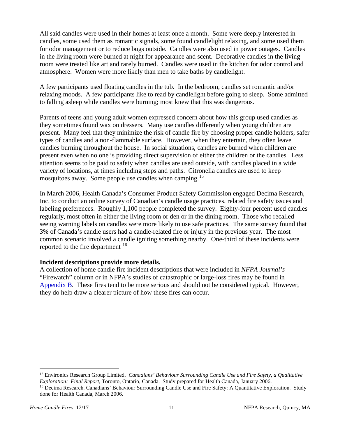All said candles were used in their homes at least once a month. Some were deeply interested in candles, some used them as romantic signals, some found candlelight relaxing, and some used them for odor management or to reduce bugs outside. Candles were also used in power outages. Candles in the living room were burned at night for appearance and scent. Decorative candles in the living room were treated like art and rarely burned. Candles were used in the kitchen for odor control and atmosphere. Women were more likely than men to take baths by candlelight.

A few participants used floating candles in the tub. In the bedroom, candles set romantic and/or relaxing moods. A few participants like to read by candlelight before going to sleep. Some admitted to falling asleep while candles were burning; most knew that this was dangerous.

Parents of teens and young adult women expressed concern about how this group used candles as they sometimes found wax on dressers. Many use candles differently when young children are present. Many feel that they minimize the risk of candle fire by choosing proper candle holders, safer types of candles and a non-flammable surface. However, when they entertain, they often leave candles burning throughout the house. In social situations, candles are burned when children are present even when no one is providing direct supervision of either the children or the candles. Less attention seems to be paid to safety when candles are used outside, with candles placed in a wide variety of locations, at times including steps and paths. Citronella candles are used to keep mosquitoes away. Some people use candles when camping.<sup>[15](#page-15-0)</sup>

In March 2006, Health Canada's Consumer Product Safety Commission engaged Decima Research, Inc. to conduct an online survey of Canadian's candle usage practices, related fire safety issues and labeling preferences. Roughly 1,100 people completed the survey. Eighty-four percent used candles regularly, most often in either the living room or den or in the dining room. Those who recalled seeing warning labels on candles were more likely to use safe practices. The same survey found that 3% of Canada's candle users had a candle-related fire or injury in the previous year. The most common scenario involved a candle igniting something nearby. One-third of these incidents were reported to the fire department [16](#page-15-1)

# **Incident descriptions provide more details.**

A collection of home candle fire incident descriptions that were included in *NFPA Journal's*  "Firewatch" column or in NFPA's studies of catastrophic or large-loss fires may be found in [Appendix B.](#page-38-1) These fires tend to be more serious and should not be considered typical. However, they do help draw a clearer picture of how these fires can occur.

<span id="page-15-0"></span><sup>15</sup> Environics Research Group Limited. *Canadians' Behaviour Surrounding Candle Use and Fire Safety, a Qualitative Exploration: Final Report,* Toronto, Ontario, Canada. Study prepared for Health Canada, January 2006.

<span id="page-15-1"></span><sup>&</sup>lt;sup>16</sup> Decima Research. Canadians' Behaviour Surrounding Candle Use and Fire Safety: A Quantitative Exploration. Study done for Health Canada, March 2006.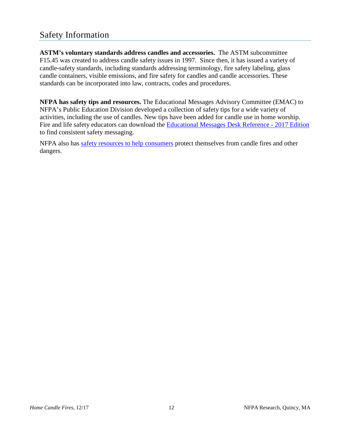<span id="page-16-0"></span>**ASTM's voluntary standards address candles and accessories.** The ASTM subcommittee F15.45 was created to address candle safety issues in 1997. Since then, it has issued a variety of candle-safety standards, including standards addressing terminology, fire safety labeling, glass candle containers, visible emissions, and fire safety for candles and candle accessories. These standards can be incorporated into law, contracts, codes and procedures.

**NFPA has safety tips and resources.** The Educational Messages Advisory Committee (EMAC) to NFPA's Public Education Division developed a collection of safety tips for a wide variety of activities, including the use of candles. New tips have been added for candle use in home worship. Fire and life safety educators can download the [Educational Messages Desk Reference -](http://www.nfpa.org/-/media/Files/Public-Education/Resources/Educational-messaging/EMAC/EducationalMessagesDeskReference.pdf) 2017 Edition to find consistent safety messaging.

NFPA also has [safety resources to help consumers](http://www.nfpa.org/Public-Education/By-topic/Top-causes-of-fire/Candles) protect themselves from candle fires and other dangers.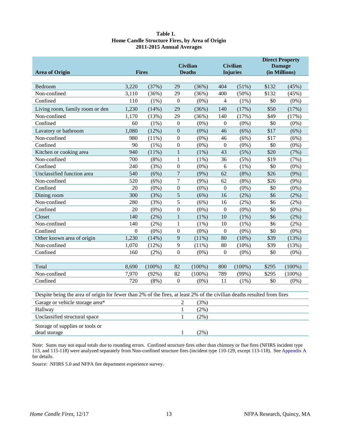#### Table 1. **Home Candle Structure Fires, by Area of Origin 2011-2015 Annual Averages**

<span id="page-17-1"></span><span id="page-17-0"></span>

|                                                                                                                         |                |           |                  |                 |                  |                 | <b>Direct Property</b>         |           |  |
|-------------------------------------------------------------------------------------------------------------------------|----------------|-----------|------------------|-----------------|------------------|-----------------|--------------------------------|-----------|--|
|                                                                                                                         | <b>Fires</b>   |           |                  | <b>Civilian</b> |                  | <b>Civilian</b> | <b>Damage</b><br>(in Millions) |           |  |
| <b>Area of Origin</b>                                                                                                   |                |           |                  | <b>Deaths</b>   |                  | <b>Injuries</b> |                                |           |  |
| Bedroom                                                                                                                 | 3,220          | (37%)     | 29               | (36%)           | 404              | (51%)           | \$132                          | (45%)     |  |
| Non-confined                                                                                                            | 3,110          | (36%)     | 29               | (36%)           | 400              | $(50\%)$        | \$132                          | (45%)     |  |
| Confined                                                                                                                | 110            | $(1\%)$   | $\mathbf{0}$     | $(0\%)$         | 4                | (1%)            | \$0                            | $(0\%)$   |  |
| Living room, family room or den                                                                                         | 1,230          | (14%)     | 29               | (36%)           | 140              | (17%)           | \$50                           | (17%)     |  |
| Non-confined                                                                                                            | 1,170          | (13%)     | 29               | (36%)           | 140              | (17%)           | \$49                           | (17%)     |  |
| Confined                                                                                                                | 60             | $(1\%)$   | $\boldsymbol{0}$ | $(0\%)$         | $\boldsymbol{0}$ | $(0\%)$         | \$0                            | $(0\%)$   |  |
| Lavatory or bathroom                                                                                                    | 1,080          | (12%)     | $\boldsymbol{0}$ | $(0\%)$         | 46               | (6%)            | \$17                           | (6%)      |  |
| Non-confined                                                                                                            | 980            | (11%)     | $\boldsymbol{0}$ | $(0\%)$         | 46               | (6%)            | \$17                           | (6%)      |  |
| Confined                                                                                                                | 90             | $(1\%)$   | $\boldsymbol{0}$ | $(0\%)$         | $\boldsymbol{0}$ | $(0\%)$         | \$0                            | $(0\%)$   |  |
| Kitchen or cooking area                                                                                                 | 940            | (11%)     | $\mathbf{1}$     | $(1\%)$         | 43               | (5%)            | \$20                           | (7%)      |  |
| Non-confined                                                                                                            | 700            | $(8\%)$   | $\mathbf{1}$     | (1%)            | 36               | (5%)            | \$19                           | (7%)      |  |
| Confined                                                                                                                | 240            | (3%)      | $\boldsymbol{0}$ | $(0\%)$         | 6                | $(1\%)$         | \$0                            | $(0\%)$   |  |
| Unclassified function area                                                                                              | 540            | (6%)      | $\overline{7}$   | $(9\%)$         | 62               | $(8\%)$         | \$26                           | $(9\%)$   |  |
| Non-confined                                                                                                            | 520            | (6%)      | $\overline{7}$   | $(9\%)$         | 62               | $(8\%)$         | \$26                           | $(9\%)$   |  |
| Confined                                                                                                                | 20             | $(0\%)$   | $\boldsymbol{0}$ | $(0\%)$         | $\boldsymbol{0}$ | $(0\%)$         | \$0                            | $(0\%)$   |  |
| Dining room                                                                                                             | 300            | (3%)      | 5                | (6%)            | 16               | $(2\%)$         | \$6                            | $(2\%)$   |  |
| Non-confined                                                                                                            | 280            | (3%)      | 5                | (6%)            | 16               | $(2\%)$         | \$6                            | $(2\%)$   |  |
| Confined                                                                                                                | 20             | $(0\%)$   | $\boldsymbol{0}$ | $(0\%)$         | $\boldsymbol{0}$ | $(0\%)$         | \$0                            | $(0\%)$   |  |
| Closet                                                                                                                  | 140            | $(2\%)$   | $\mathbf{1}$     | $(1\%)$         | 10               | $(1\%)$         | \$6                            | $(2\%)$   |  |
| Non-confined                                                                                                            | 140            | $(2\%)$   | $\mathbf{1}$     | $(1\%)$         | 10               | $(1\%)$         | \$6                            | $(2\%)$   |  |
| Confined                                                                                                                | $\overline{0}$ | $(0\%)$   | $\mathbf{0}$     | $(0\%)$         | $\boldsymbol{0}$ | $(0\%)$         | \$0                            | $(0\%)$   |  |
| Other known area of origin                                                                                              | 1,230          | (14%)     | 9                | (11%)           | 80               | (10%)           | \$39                           | (13%)     |  |
| Non-confined                                                                                                            | 1,070          | (12%)     | 9                | $(11\%)$        | 80               | $(10\%)$        | \$39                           | (13%)     |  |
| Confined                                                                                                                | 160            | $(2\%)$   | $\boldsymbol{0}$ | $(0\%)$         | $\boldsymbol{0}$ | $(0\%)$         | \$0                            | $(0\%)$   |  |
|                                                                                                                         |                |           |                  |                 |                  |                 |                                |           |  |
| Total                                                                                                                   | 8,690          | $(100\%)$ | 82               | $(100\%)$       | 800              | $(100\%)$       | \$295                          | $(100\%)$ |  |
| Non-confined                                                                                                            | 7,970          | (92%)     | 82               | $(100\%)$       | 789              | (99%)           | \$295                          | $(100\%)$ |  |
| Confined                                                                                                                | 720            | $(8\%)$   | $\overline{0}$   | $(0\%)$         | 11               | $(1\%)$         | \$0                            | $(0\%)$   |  |
| Despite being the area of origin for fewer than 2% of the fires, at least 2% of the civilian deaths resulted from fires |                |           |                  |                 |                  |                 |                                |           |  |
| Garage or vehicle storage area*                                                                                         |                |           | $\overline{c}$   | (3%)            |                  |                 |                                |           |  |
| Hallway                                                                                                                 |                |           | $\mathbf{1}$     | $(2\%)$         |                  |                 |                                |           |  |
| Unclassified structural space                                                                                           |                |           | 1                | $(2\%)$         |                  |                 |                                |           |  |
|                                                                                                                         |                |           |                  |                 |                  |                 |                                |           |  |
| Storage of supplies or tools or                                                                                         |                |           |                  |                 |                  |                 |                                |           |  |
| dead storage                                                                                                            |                |           | 1                | $(2\%)$         |                  |                 |                                |           |  |

Note: Sums may not equal totals due to rounding errors. Confined structure fires other than chimney or flue fires (NFIRS incident type 113, and 115-118) were analyzed separately from Non-confined structure fires (incident type 110-129, except 113-118). See [Appendix A](#page-30-1) for details.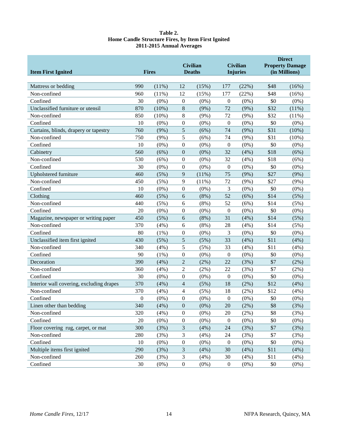#### **Table 2. Home Candle Structure Fires, by Item First Ignited 2011-2015 Annual Averages**

<span id="page-18-0"></span>

| <b>Item First Ignited</b>                             |                | <b>Civilian</b><br><b>Fires</b><br><b>Deaths</b> |                  |              |                  | <b>Civilian</b><br><b>Injuries</b> | <b>Direct</b><br><b>Property Damage</b><br>(in Millions) |                     |
|-------------------------------------------------------|----------------|--------------------------------------------------|------------------|--------------|------------------|------------------------------------|----------------------------------------------------------|---------------------|
|                                                       |                |                                                  |                  |              |                  |                                    |                                                          |                     |
| Mattress or bedding                                   | 990            | (11%)                                            | 12               | (15%)        | 177              | (22%)                              | \$48                                                     | (16%)               |
| Non-confined                                          | 960            | (11%)                                            | 12               | (15%)        | 177              | (22%)                              | \$48                                                     | (16%)               |
| Confined                                              | 30             | $(0\%)$                                          | $\boldsymbol{0}$ | $(0\%)$      | $\boldsymbol{0}$ | $(0\%)$                            | \$0                                                      | $(0\%)$             |
| Unclassified furniture or utensil                     | 870            | (10%)                                            | $\,8\,$          | (9%)         | 72               | (9%)                               | \$32                                                     | (11%)               |
| Non-confined<br>Confined                              | 850            | (10%)                                            | 8                | (9%)         | 72               | $(9\%)$                            | \$32<br>\$0                                              | (11%)               |
|                                                       | 10             | $(0\%)$                                          | $\boldsymbol{0}$ | $(0\%)$      | $\boldsymbol{0}$ | $(0\%)$                            | \$31                                                     | $(0\%)$             |
| Curtains, blinds, drapery or tapestry<br>Non-confined | 760<br>750     | (9%)                                             | 5<br>5           | (6%)<br>(6%) | 74<br>74         | (9%)                               | \$31                                                     | $(10\%)$            |
| Confined                                              | 10             | (9%)<br>$(0\%)$                                  | $\boldsymbol{0}$ | $(0\%)$      | $\overline{0}$   | (9%)<br>$(0\%)$                    | \$0                                                      | $(10\%)$<br>$(0\%)$ |
| Cabinetry                                             | 560            | (6%)                                             | $\boldsymbol{0}$ | $(0\%)$      | 32               | (4%)                               | \$18                                                     | (6%)                |
| Non-confined                                          | 530            | (6%)                                             | $\boldsymbol{0}$ | $(0\%)$      | 32               | (4%)                               | \$18                                                     | (6%)                |
| Confined                                              | 30             | $(0\%)$                                          | $\boldsymbol{0}$ | $(0\%)$      | $\boldsymbol{0}$ | $(0\%)$                            | \$0                                                      | $(0\%)$             |
| Upholstered furniture                                 | 460            | (5%)                                             | 9                | (11%)        | 75               | $(9\%)$                            | \$27                                                     | (9%)                |
| Non-confined                                          | 450            | (5%)                                             | 9                | (11%)        | 72               | $(9\%)$                            | \$27                                                     | (9%)                |
| Confined                                              | 10             | $(0\%)$                                          | $\boldsymbol{0}$ | $(0\%)$      | 3                | $(0\%)$                            | \$0                                                      | $(0\%)$             |
| Clothing                                              | 460            | (5%)                                             | 6                | $(8\%)$      | 52               | (6%)                               | \$14                                                     | (5%)                |
| Non-confined                                          | 440            | (5%)                                             | 6                | (8%)         | 52               | (6%)                               | \$14                                                     | (5%)                |
| Confined                                              | 20             | $(0\%)$                                          | $\boldsymbol{0}$ | $(0\%)$      | $\overline{0}$   | $(0\%)$                            | \$0                                                      | $(0\%)$             |
| Magazine, newspaper or writing paper                  | 450            | (5%)                                             | 6                | (8%)         | 31               | (4%)                               | \$14                                                     | (5%)                |
| Non-confined                                          | 370            | (4% )                                            | 6                | (8%)         | 28               | (4%)                               | \$14                                                     | (5%)                |
| Confined                                              | 80             | (1%)                                             | $\boldsymbol{0}$ | $(0\%)$      | 3                | $(0\%)$                            | \$0                                                      | $(0\%)$             |
| Unclassified item first ignited                       | 430            | (5%)                                             | 5                | (5%)         | 33               | (4%)                               | \$11                                                     | (4%)                |
| Non-confined                                          | 340            | (4%)                                             | $\mathfrak s$    | (5%)         | 33               | (4%)                               | \$11                                                     | (4%)                |
| Confined                                              | 90             | $(1\%)$                                          | $\boldsymbol{0}$ | $(0\%)$      | $\boldsymbol{0}$ | $(0\%)$                            | \$0                                                      | $(0\%)$             |
| Decoration                                            | 390            | (4%)                                             | $\overline{c}$   | $(2\%)$      | 22               | (3%)                               | \$7                                                      | $(2\%)$             |
| Non-confined                                          | 360            | (4%)                                             | $\overline{2}$   | (2%)         | 22               | (3%)                               | \$7                                                      | $(2\%)$             |
| Confined                                              | 30             | $(0\%)$                                          | $\boldsymbol{0}$ | $(0\%)$      | $\boldsymbol{0}$ | $(0\%)$                            | \$0                                                      | $(0\%)$             |
| Interior wall covering, excluding drapes              | 370            | (4%)                                             | 4                | (5%)         | 18               | (2%)                               | \$12                                                     | (4%)                |
| Non-confined                                          | 370            | (4%)                                             | 4                | (5%)         | 18               | (2%)                               | \$12                                                     | (4% )               |
| Confined                                              | $\overline{0}$ | $(0\%)$                                          | $\boldsymbol{0}$ | $(0\%)$      | $\boldsymbol{0}$ | $(0\%)$                            | \$0                                                      | $(0\%)$             |
| Linen other than bedding                              | 340            | (4%)                                             | $\boldsymbol{0}$ | $(0\%)$      | $20\,$           | (2%)                               | \$8                                                      | (3%)                |
| Non-confined                                          | 320            | (4%)                                             | $\boldsymbol{0}$ | $(0\%)$      | $20\,$           | $(2\%)$                            | \$8                                                      | (3%)                |
| Confined                                              | 20             | $(0\%)$                                          | $\boldsymbol{0}$ | $(0\%)$      | $\boldsymbol{0}$ | $(0\%)$                            | \$0                                                      | $(0\%)$             |
| Floor covering rug, carpet, or mat                    | 300            | (3%)                                             | $\mathfrak{Z}$   | (4%)         | 24               | (3%)                               | \$7                                                      | (3%)                |
| Non-confined                                          | 280            | (3%)                                             | 3                | (4%)         | 24               | (3%)                               | \$7                                                      | (3%)                |
| Confined                                              | 10             | $(0\%)$                                          | $\boldsymbol{0}$ | $(0\%)$      | $\boldsymbol{0}$ | $(0\%)$                            | \$0                                                      | (0%)                |
| Multiple items first ignited                          | 290            | (3%)                                             | 3                | (4%)         | 30               | (4%)                               | \$11                                                     | (4%)                |
| Non-confined                                          | 260            | (3%)                                             | $\mathfrak{Z}$   | (4%)         | 30               | (4%)                               | \$11                                                     | (4%)                |
| Confined                                              | 30             | $(0\%)$                                          | $\boldsymbol{0}$ | $(0\%)$      | $\boldsymbol{0}$ | $(0\%)$                            | \$0                                                      | (0%)                |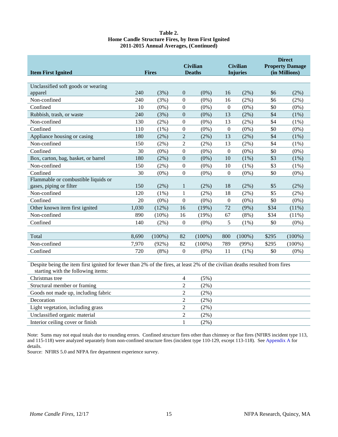| Table 2.                                           |
|----------------------------------------------------|
| Home Candle Structure Fires, by Item First Ignited |
| 2011-2015 Annual Averages, (Continued)             |

| <b>Item First Ignited</b>                                                   |       | <b>Fires</b>               | <b>Civilian</b><br><b>Deaths</b> |                                       | <b>Civilian</b><br><b>Injuries</b> |           |       | <b>Direct</b><br><b>Property Damage</b><br>(in Millions) |
|-----------------------------------------------------------------------------|-------|----------------------------|----------------------------------|---------------------------------------|------------------------------------|-----------|-------|----------------------------------------------------------|
|                                                                             |       |                            |                                  |                                       |                                    |           |       |                                                          |
| Unclassified soft goods or wearing                                          |       |                            |                                  |                                       |                                    |           |       |                                                          |
| apparel                                                                     | 240   | (3%)                       | $\theta$                         | $(0\%)$                               | 16                                 | (2%)      | \$6   | (2%)                                                     |
| Non-confined                                                                | 240   | (3%)                       | $\mathbf{0}$                     | $(0\%)$                               | 16                                 | $(2\%)$   | \$6   | $(2\%)$                                                  |
| Confined                                                                    | 10    | $(0\%)$                    | $\overline{0}$                   | $(0\%)$                               | $\boldsymbol{0}$                   | $(0\%)$   | \$0   | $(0\%)$                                                  |
| Rubbish, trash, or waste                                                    | 240   | (3%)                       | $\overline{0}$                   | $(0\%)$                               | 13                                 | $(2\%)$   | \$4   | (1%)                                                     |
| Non-confined                                                                | 130   | (2%)                       | $\mathbf{0}$                     | $(0\%)$                               | 13                                 | (2%)      | \$4   | (1%)                                                     |
| Confined                                                                    | 110   | $(1\%)$                    | $\boldsymbol{0}$                 | $(0\%)$                               | $\mathbf{0}$                       | $(0\%)$   | \$0   | $(0\%)$                                                  |
| Appliance housing or casing                                                 | 180   | (2%)                       | $\overline{2}$                   | (2%)                                  | 13                                 | $(2\%)$   | \$4   | (1%)                                                     |
| Non-confined                                                                | 150   | (2%)                       | $\overline{2}$                   | $(2\%)$                               | 13                                 | $(2\%)$   | \$4   | $(1\%)$                                                  |
| Confined                                                                    | 30    | $(0\%)$                    | $\mathbf{0}$                     | $(0\%)$                               | $\overline{0}$                     | $(0\%)$   | \$0   | $(0\%)$                                                  |
| Box, carton, bag, basket, or barrel                                         | 180   | (2%)                       | $\mathbf{0}$                     | $(0\%)$                               | 10                                 | $(1\%)$   | \$3   | (1%)                                                     |
| Non-confined                                                                | 150   | $(2\%)$                    | $\mathbf{0}$                     | $(0\%)$                               | 10                                 | $(1\%)$   | \$3   | $(1\%)$                                                  |
| Confined                                                                    | 30    | $(0\%)$                    | $\mathbf{0}$                     | $(0\%)$                               | $\overline{0}$                     | $(0\%)$   | \$0   | $(0\%)$                                                  |
| Flammable or combustible liquids or                                         |       |                            |                                  |                                       |                                    |           |       |                                                          |
| gases, piping or filter                                                     | 150   | (2%)                       | 1                                | $(2\%)$                               | 18                                 | $(2\%)$   | \$5   | (2%)                                                     |
| Non-confined                                                                | 120   | $(1\%)$                    | 1                                | $(2\%)$                               | 18                                 | $(2\%)$   | \$5   | $(2\%)$                                                  |
| Confined                                                                    | 20    | $(0\%)$                    | $\mathbf{0}$                     | $(0\%)$                               | $\mathbf{0}$                       | $(0\%)$   | \$0   | $(0\%)$                                                  |
| Other known item first ignited                                              | 1,030 | (12%)                      | 16                               | (19%)                                 | 72                                 | $(9\%)$   | \$34  | $(11\%)$                                                 |
| Non-confined                                                                | 890   | $(10\%)$                   | 16                               | (19%)                                 | 67                                 | $(8\%)$   | \$34  | (11%)                                                    |
| Confined                                                                    | 140   | (2%)                       | $\mathbf{0}$                     | $(0\%)$                               | 5                                  | $(1\%)$   | \$0   | $(0\%)$                                                  |
|                                                                             |       |                            |                                  |                                       |                                    |           |       |                                                          |
| Total                                                                       | 8,690 | $(100\%)$                  | 82                               | $(100\%)$                             | 800                                | $(100\%)$ | \$295 | $(100\%)$                                                |
| Non-confined                                                                | 7,970 | (92%)                      | 82                               | $(100\%)$                             | 789                                | (99%)     | \$295 | $(100\%)$                                                |
| Confined                                                                    | 720   | $(8\%)$                    | $\mathbf{0}$                     | $(0\%)$                               | 11                                 | $(1\%)$   | \$0   | $(0\%)$                                                  |
| <b>December 100 football</b> and the co-<br>$C = \{x_1, x_2, \ldots, x_n\}$ |       | $(1, 0, 0)$ $(0, 1, 0, 0)$ |                                  | $-1$ $-1$ $-1$ $-0$ $0$ $-1$ $-0$ $1$ | <b>SAMPLE STATES AND STATES</b>    |           | 1.110 | $\mathbf{C}^*$                                           |

Despite being the item first ignited for fewer than 2% of the fires, at least 2% of the civilian deaths resulted from fires starting with the following items:

| Christmas tree                      | (5%)    |
|-------------------------------------|---------|
| Structural member or framing        | $(2\%)$ |
| Goods not made up, including fabric | $(2\%)$ |
| Decoration                          | $(2\%)$ |
| Light vegetation, including grass   | $(2\%)$ |
| Unclassified organic material       | (2%)    |
| Interior ceiling cover or finish    | $(2\%)$ |
|                                     |         |

Note: Sums may not equal totals due to rounding errors. Confined structure fires other than chimney or flue fires (NFIRS incident type 113, and 115-118) were analyzed separately from non-confined structure fires (incident type 110-129, except 113-118). See [Appendix A](#page-30-1) for details.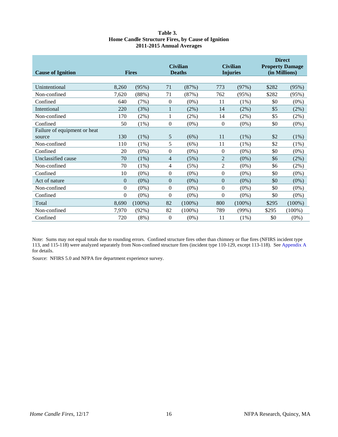#### **Table 3. Home Candle Structure Fires, by Cause of Ignition 2011-2015 Annual Averages**

<span id="page-20-0"></span>

| <b>Cause of Ignition</b>     |                | <b>Fires</b> |                | <b>Civilian</b><br><b>Deaths</b> |                | <b>Civilian</b><br><b>Injuries</b> | <b>Direct</b><br><b>Property Damage</b><br>(in Millions) |           |
|------------------------------|----------------|--------------|----------------|----------------------------------|----------------|------------------------------------|----------------------------------------------------------|-----------|
| Unintentional                | 8,260          | (95%)        | 71             | (87%)                            | 773            | (97%)                              | \$282                                                    | (95%)     |
| Non-confined                 | 7,620          | (88%)        | 71             | (87%)                            | 762            | (95%)                              | \$282                                                    | (95%)     |
| Confined                     | 640            | (7%)         | $\overline{0}$ | $(0\%)$                          | 11             | $(1\%)$                            | \$0                                                      | $(0\%)$   |
| Intentional                  | 220            | (3%)         |                | $(2\%)$                          | 14             | (2%)                               | \$5                                                      | (2%)      |
| Non-confined                 | 170            | (2%)         |                | $(2\%)$                          | 14             | (2%)                               | \$5                                                      | (2%)      |
| Confined                     | 50             | (1%)         | $\overline{0}$ | $(0\%)$                          | $\theta$       | $(0\%)$                            | \$0                                                      | $(0\%)$   |
| Failure of equipment or heat |                |              |                |                                  |                |                                    |                                                          |           |
| source                       | 130            | (1%)         | 5              | (6%)                             | 11             | $(1\%)$                            | \$2                                                      | (1%)      |
| Non-confined                 | 110            | (1%)         | 5              | (6%)                             | 11             | $(1\%)$                            | \$2                                                      | (1%)      |
| Confined                     | 20             | $(0\%)$      | $\overline{0}$ | $(0\%)$                          | $\overline{0}$ | $(0\%)$                            | \$0                                                      | $(0\%)$   |
| Unclassified cause           | 70             | $(1\%)$      | $\overline{4}$ | (5%)                             | $\overline{2}$ | $(0\%)$                            | \$6                                                      | (2%)      |
| Non-confined                 | 70             | $(1\%)$      | 4              | (5%)                             | $\overline{2}$ | $(0\%)$                            | \$6                                                      | (2%)      |
| Confined                     | 10             | $(0\%)$      | $\overline{0}$ | $(0\%)$                          | $\overline{0}$ | $(0\%)$                            | \$0                                                      | $(0\%)$   |
| Act of nature                | $\overline{0}$ | $(0\%)$      | $\overline{0}$ | $(0\%)$                          | $\overline{0}$ | $(0\%)$                            | \$0                                                      | $(0\%)$   |
| Non-confined                 | $\Omega$       | $(0\%)$      | $\theta$       | $(0\%)$                          | $\overline{0}$ | $(0\%)$                            | \$0                                                      | $(0\%)$   |
| Confined                     | $\Omega$       | $(0\%)$      | $\theta$       | $(0\%)$                          | $\theta$       | $(0\%)$                            | \$0                                                      | $(0\%)$   |
| Total                        | 8,690          | $(100\%)$    | 82             | $(100\%)$                        | 800            | $(100\%)$                          | \$295                                                    | $(100\%)$ |
| Non-confined                 | 7,970          | $(92\%)$     | 82             | $(100\%)$                        | 789            | (99%)                              | \$295                                                    | $(100\%)$ |
| Confined                     | 720            | $(8\%)$      | $\overline{0}$ | $(0\%)$                          | 11             | $(1\%)$                            | \$0                                                      | $(0\%)$   |

Note: Sums may not equal totals due to rounding errors. Confined structure fires other than chimney or flue fires (NFIRS incident type 113, and 115-118) were analyzed separately from Non-confined structure fires (incident type 110-129, except 113-118). See [Appendix A](#page-30-1) for details.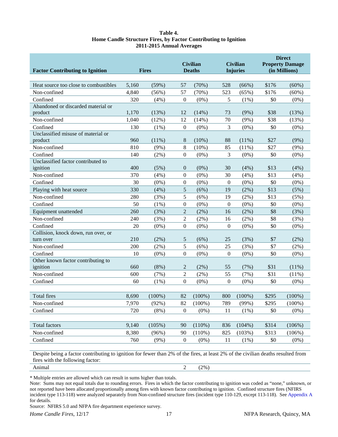| Table 4.                                                        |
|-----------------------------------------------------------------|
| Home Candle Structure Fires, by Factor Contributing to Ignition |
| 2011-2015 Annual Averages                                       |

<span id="page-21-0"></span>

| <b>Factor Contributing to Ignition</b>        |       | <b>Civilian</b><br><b>Deaths</b><br><b>Fires</b> |                  |           |                  | <b>Civilian</b><br><b>Injuries</b> | <b>Direct</b><br><b>Property Damage</b><br>(in Millions) |           |
|-----------------------------------------------|-------|--------------------------------------------------|------------------|-----------|------------------|------------------------------------|----------------------------------------------------------|-----------|
|                                               |       |                                                  |                  |           |                  |                                    |                                                          |           |
| Heat source too close to combustibles         | 5,160 | (59%)                                            | 57               | (70%)     | 528              | (66%)                              | \$176                                                    | $(60\%)$  |
| Non-confined                                  | 4,840 | (56%)                                            | 57               | (70%)     | 523              | (65%)                              | \$176                                                    | $(60\%)$  |
| Confined                                      | 320   | (4%)                                             | $\boldsymbol{0}$ | $(0\%)$   | 5                | (1%)                               | \$0                                                      | $(0\%)$   |
| Abandoned or discarded material or            |       |                                                  |                  |           |                  |                                    |                                                          |           |
| product                                       | 1,170 | (13%)                                            | 12               | (14%)     | 73               | $(9\%)$                            | \$38                                                     | (13%)     |
| Non-confined                                  | 1,040 | (12%)                                            | 12               | (14%)     | 70               | $(9\%)$                            | \$38                                                     | (13%)     |
| Confined                                      | 130   | $(1\%)$                                          | $\boldsymbol{0}$ | $(0\%)$   | 3                | $(0\%)$                            | \$0                                                      | $(0\%)$   |
| Unclassified misuse of material or<br>product | 960   | (11%)                                            | 8                | $(10\%)$  | 88               | (11%)                              | \$27                                                     | (9%)      |
| Non-confined                                  | 810   | (9%)                                             | 8                | $(10\%)$  | 85               | $(11\%)$                           | \$27                                                     | $(9\%)$   |
| Confined                                      | 140   | (2%)                                             | $\boldsymbol{0}$ | $(0\%)$   | 3                | $(0\%)$                            | \$0                                                      | $(0\%)$   |
| Unclassified factor contributed to            |       |                                                  |                  |           |                  |                                    |                                                          |           |
| ignition                                      | 400   | (5%)                                             | $\overline{0}$   | $(0\%)$   | 30               | (4%)                               | \$13                                                     | (4%)      |
| Non-confined                                  | 370   | (4%)                                             | $\boldsymbol{0}$ | $(0\%)$   | 30               | (4%)                               | \$13                                                     | (4%)      |
| Confined                                      | 30    | $(0\%)$                                          | $\boldsymbol{0}$ | $(0\%)$   | $\overline{0}$   | $(0\%)$                            | \$0                                                      | $(0\%)$   |
| Playing with heat source                      | 330   | (4%)                                             | 5                | (6%)      | 19               | (2%)                               | \$13                                                     | (5%)      |
| Non-confined                                  | 280   | (3%)                                             | 5                | (6%)      | 19               | $(2\%)$                            | \$13                                                     | (5%)      |
| Confined                                      | 50    | (1%)                                             | 0                | $(0\%)$   | $\theta$         | $(0\%)$                            | \$0                                                      | $(0\%)$   |
| Equipment unattended                          | 260   | (3%)                                             | $\overline{c}$   | $(2\%)$   | 16               | $(2\%)$                            | \$8                                                      | (3%)      |
| Non-confined                                  | 240   | (3%)                                             | $\overline{c}$   | $(2\%)$   | 16               | $(2\%)$                            | \$8                                                      | (3%)      |
| Confined                                      | 20    | $(0\%)$                                          | $\overline{0}$   | $(0\%)$   | $\boldsymbol{0}$ | $(0\%)$                            | \$0                                                      | $(0\%)$   |
| Collision, knock down, run over, or           |       |                                                  |                  |           |                  |                                    |                                                          |           |
| turn over                                     | 210   | (2%)                                             | 5                | (6%)      | 25               | (3%)                               | \$7                                                      | (2%)      |
| Non-confined                                  | 200   | $(2\%)$                                          | 5                | (6%)      | 25               | (3%)                               | \$7                                                      | (2%)      |
| Confined                                      | 10    | $(0\%)$                                          | $\theta$         | $(0\%)$   | $\overline{0}$   | $(0\%)$                            | \$0                                                      | $(0\%)$   |
| Other known factor contributing to            |       |                                                  |                  |           |                  |                                    |                                                          |           |
| ignition                                      | 660   | (8%)                                             | 2                | (2%)      | 55               | (7%)                               | \$31                                                     | (11%)     |
| Non-confined                                  | 600   | (7%)                                             | $\overline{2}$   | $(2\%)$   | 55               | (7%)                               | \$31                                                     | (11%)     |
| Confined                                      | 60    | (1%)                                             | $\theta$         | $(0\%)$   | $\boldsymbol{0}$ | $(0\%)$                            | \$0                                                      | $(0\%)$   |
|                                               |       |                                                  |                  |           |                  |                                    |                                                          |           |
| <b>Total fires</b>                            | 8,690 | $(100\%)$                                        | 82               | $(100\%)$ | 800              | $(100\%)$                          | \$295                                                    | $(100\%)$ |
| Non-confined                                  | 7,970 | (92%)                                            | 82               | $(100\%)$ | 789              | (99%)                              | \$295                                                    | $(100\%)$ |
| Confined                                      | 720   | (8%)                                             | $\boldsymbol{0}$ | $(0\%)$   | 11               | $(1\%)$                            | \$0                                                      | $(0\%)$   |
|                                               |       |                                                  |                  |           |                  |                                    |                                                          |           |
| Total factors                                 | 9,140 | (105%)                                           | 90               | (110%)    | 836              | $(104\%)$                          | \$314                                                    | (106%)    |
| Non-confined                                  | 8,380 | (96%)                                            | 90               | (110%)    | 825              | (103%)                             | \$313                                                    | (106%)    |
| Confined                                      | 760   | $(9\%)$                                          | $\boldsymbol{0}$ | $(0\%)$   | 11               | (1%)                               | \$0                                                      | $(0\%)$   |
|                                               |       |                                                  |                  |           |                  |                                    |                                                          |           |

Despite being a factor contributing to ignition for fewer than 2% of the fires, at least 2% of the civilian deaths resulted from fires with the following factor:

Animal  $2(2\%)$ 

\* Multiple entries are allowed which can result in sums higher than totals.

Note: Sums may not equal totals due to rounding errors. Fires in which the factor contributing to ignition was coded as "none," unknown, or not reported have been allocated proportionally among fires with known factor contributing to ignition. Confined structure fires (NFIRS incident type 113-118) were analyzed separately from Non-confined structure fires (incident type 110-129, except 113-118). See [Appendix A](#page-30-1) for details.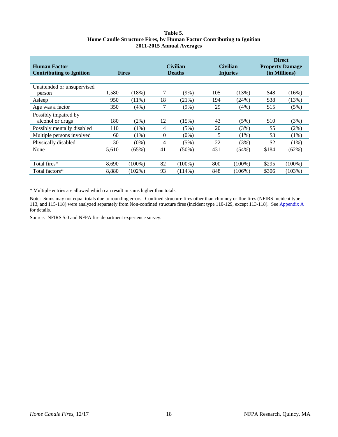#### **Table 5. Home Candle Structure Fires, by Human Factor Contributing to Ignition 2011-2015 Annual Averages**

<span id="page-22-0"></span>

| <b>Human Factor</b><br><b>Contributing to Ignition</b> | <b>Fires</b> |           | <b>Civilian</b><br><b>Deaths</b> |           |     | <b>Civilian</b><br><b>Injuries</b> | <b>Direct</b><br><b>Property Damage</b><br>(in Millions) |           |
|--------------------------------------------------------|--------------|-----------|----------------------------------|-----------|-----|------------------------------------|----------------------------------------------------------|-----------|
|                                                        |              |           |                                  |           |     |                                    |                                                          |           |
| Unattended or unsupervised                             |              |           |                                  |           |     |                                    |                                                          |           |
| person                                                 | 1,580        | (18%)     |                                  | (9%)      | 105 | (13%)                              | \$48                                                     | $(16\%)$  |
| Asleep                                                 | 950          | $(11\%)$  | 18                               | (21%)     | 194 | (24%)                              | \$38                                                     | (13%)     |
| Age was a factor                                       | 350          | (4%)      | 7                                | $(9\%)$   | 29  | (4%)                               | \$15                                                     | (5%)      |
| Possibly impaired by                                   |              |           |                                  |           |     |                                    |                                                          |           |
| alcohol or drugs                                       | 180          | $(2\%)$   | 12                               | (15%)     | 43  | (5%)                               | \$10                                                     | (3%)      |
| Possibly mentally disabled                             | 110          | (1%)      | 4                                | (5%)      | 20  | (3%)                               | \$5                                                      | (2%)      |
| Multiple persons involved                              | 60           | $(1\%)$   | $\Omega$                         | $(0\%)$   | 5   | $(1\%)$                            | \$3                                                      | $(1\%)$   |
| Physically disabled                                    | 30           | $(0\%)$   | 4                                | (5%)      | 22  | (3%)                               | \$2                                                      | $(1\%)$   |
| None                                                   | 5,610        | (65%)     | 41                               | $(50\%)$  | 431 | $(54\%)$                           | \$184                                                    | $(62\%)$  |
|                                                        |              |           |                                  |           |     |                                    |                                                          |           |
| Total fires*                                           | 8,690        | $(100\%)$ | 82                               | $(100\%)$ | 800 | $(100\%)$                          | \$295                                                    | $(100\%)$ |
| Total factors*                                         | 8.880        | (102%)    | 93                               | $(114\%)$ | 848 | $(106\%)$                          | \$306                                                    | (103%)    |

\* Multiple entries are allowed which can result in sums higher than totals.

Note: Sums may not equal totals due to rounding errors. Confined structure fires other than chimney or flue fires (NFIRS incident type 113, and 115-118) were analyzed separately from Non-confined structure fires (incident type 110-129, except 113-118). See [Appendix A](#page-30-1) for details.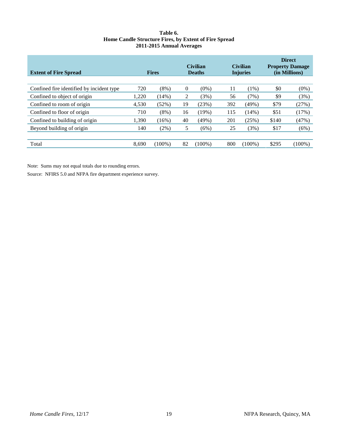#### **Table 6. Home Candle Structure Fires, by Extent of Fire Spread 2011-2015 Annual Averages**

<span id="page-23-0"></span>

| <b>Extent of Fire Spread</b>              |       | <b>Fires</b> |          | <b>Civilian</b><br><b>Deaths</b> |     | <b>Civilian</b><br><b>Injuries</b> |       | <b>Direct</b><br><b>Property Damage</b><br>(in Millions) |
|-------------------------------------------|-------|--------------|----------|----------------------------------|-----|------------------------------------|-------|----------------------------------------------------------|
|                                           |       |              |          |                                  |     |                                    |       |                                                          |
| Confined fire identified by incident type | 720   | $(8\%)$      | $\theta$ | $(0\%)$                          | 11  | $(1\%)$                            | \$0   | $(0\%)$                                                  |
| Confined to object of origin              | 1,220 | (14%)        | 2        | (3%)                             | 56  | (7%)                               | \$9   | (3%)                                                     |
| Confined to room of origin                | 4,530 | (52%)        | 19       | (23%)                            | 392 | (49%)                              | \$79  | (27%)                                                    |
| Confined to floor of origin               | 710   | $(8\%)$      | 16       | (19%)                            | 115 | (14%)                              | \$51  | (17%)                                                    |
| Confined to building of origin            | 1.390 | (16%)        | 40       | (49%)                            | 201 | (25%)                              | \$140 | (47%)                                                    |
| Beyond building of origin                 | 140   | $(2\%)$      | 5        | (6%)                             | 25  | (3%)                               | \$17  | (6%)                                                     |
|                                           |       |              |          |                                  |     |                                    |       |                                                          |
| Total                                     | 8.690 | $(100\%)$    | 82       | $(100\%)$                        | 800 | $(100\%)$                          | \$295 | $(100\%)$                                                |

Note: Sums may not equal totals due to rounding errors.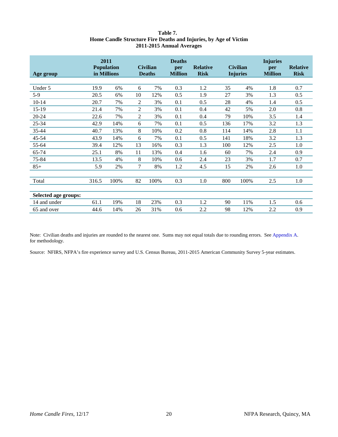#### **Table 7. Home Candle Structure Fire Deaths and Injuries, by Age of Victim 2011-2015 Annual Averages**

<span id="page-24-0"></span>

| Age group            |       | 2011<br><b>Population</b><br>in Millions |                | <b>Civilian</b><br><b>Deaths</b> | <b>Deaths</b><br>per<br><b>Million</b> | <b>Relative</b><br><b>Risk</b> |     | <b>Civilian</b><br><b>Injuries</b> | <b>Injuries</b><br>per<br><b>Million</b> | <b>Relative</b><br><b>Risk</b> |
|----------------------|-------|------------------------------------------|----------------|----------------------------------|----------------------------------------|--------------------------------|-----|------------------------------------|------------------------------------------|--------------------------------|
|                      |       |                                          |                |                                  |                                        |                                |     |                                    |                                          |                                |
| Under 5              | 19.9  | 6%                                       | 6              | 7%                               | 0.3                                    | 1.2                            | 35  | 4%                                 | 1.8                                      | 0.7                            |
| $5-9$                | 20.5  | 6%                                       | 10             | 12%                              | 0.5                                    | 1.9                            | 27  | 3%                                 | 1.3                                      | 0.5                            |
| $10 - 14$            | 20.7  | 7%                                       | $\overline{2}$ | 3%                               | 0.1                                    | 0.5                            | 28  | 4%                                 | 1.4                                      | 0.5                            |
| $15-19$              | 21.4  | 7%                                       | 2              | 3%                               | 0.1                                    | 0.4                            | 42  | 5%                                 | 2.0                                      | 0.8                            |
| 20-24                | 22.6  | 7%                                       | $\overline{2}$ | 3%                               | 0.1                                    | 0.4                            | 79  | 10%                                | 3.5                                      | 1.4                            |
| 25-34                | 42.9  | 14%                                      | 6              | 7%                               | 0.1                                    | 0.5                            | 136 | 17%                                | 3.2                                      | 1.3                            |
| 35-44                | 40.7  | 13%                                      | 8              | 10%                              | 0.2                                    | 0.8                            | 114 | 14%                                | 2.8                                      | 1.1                            |
| 45-54                | 43.9  | 14%                                      | 6              | 7%                               | 0.1                                    | 0.5                            | 141 | 18%                                | 3.2                                      | 1.3                            |
| 55-64                | 39.4  | 12%                                      | 13             | 16%                              | 0.3                                    | 1.3                            | 100 | 12%                                | 2.5                                      | 1.0                            |
| 65-74                | 25.1  | 8%                                       | 11             | 13%                              | 0.4                                    | 1.6                            | 60  | 7%                                 | 2.4                                      | 0.9                            |
| 75-84                | 13.5  | 4%                                       | 8              | 10%                              | 0.6                                    | 2.4                            | 23  | 3%                                 | 1.7                                      | 0.7                            |
| $85+$                | 5.9   | 2%                                       | $\tau$         | 8%                               | 1.2                                    | 4.5                            | 15  | 2%                                 | 2.6                                      | 1.0                            |
|                      |       |                                          |                |                                  |                                        |                                |     |                                    |                                          |                                |
| Total                | 316.5 | 100%                                     | 82             | 100%                             | 0.3                                    | 1.0                            | 800 | 100%                               | 2.5                                      | 1.0                            |
|                      |       |                                          |                |                                  |                                        |                                |     |                                    |                                          |                                |
| Selected age groups: |       |                                          |                |                                  |                                        |                                |     |                                    |                                          |                                |
| 14 and under         | 61.1  | 19%                                      | 18             | 23%                              | 0.3                                    | 1.2                            | 90  | 11%                                | 1.5                                      | 0.6                            |
| 65 and over          | 44.6  | 14%                                      | 26             | 31%                              | 0.6                                    | 2.2                            | 98  | 12%                                | 2.2                                      | 0.9                            |

Note: Civilian deaths and injuries are rounded to the nearest one. Sums may not equal totals due to rounding errors. See [Appendix A.](#page-30-1)  for methodology.

Source: NFIRS, NFPA's fire experience survey and U.S. Census Bureau, 2011-2015 American Community Survey 5-year estimates.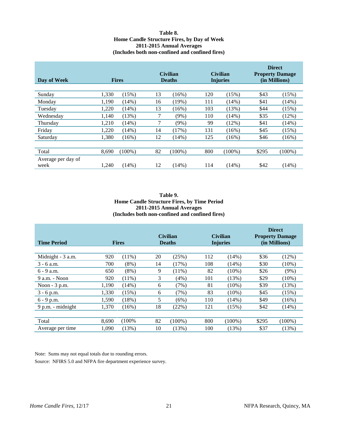#### **Table 8. Home Candle Structure Fires, by Day of Week 2011-2015 Annual Averages (Includes both non-confined and confined fires)**

<span id="page-25-0"></span>

| Day of Week                |       | <b>Fires</b> |    | <b>Civilian</b><br><b>Deaths</b> |     | <b>Civilian</b><br><b>Injuries</b> |       | <b>Direct</b><br><b>Property Damage</b><br>(in Millions) |  |
|----------------------------|-------|--------------|----|----------------------------------|-----|------------------------------------|-------|----------------------------------------------------------|--|
| Sunday                     | 1,330 | (15%)        | 13 | (16%)                            | 120 | (15%)                              | \$43  | (15%)                                                    |  |
| Monday                     | 1,190 | (14%)        | 16 | (19%)                            | 111 | (14%)                              | \$41  | (14%)                                                    |  |
| Tuesday                    | 1,220 | (14%)        | 13 | $(16\%)$                         | 103 | (13%)                              | \$44  | (15%)                                                    |  |
| Wednesday                  | 1,140 | (13%)        | 7  | (9%)                             | 110 | (14%)                              | \$35  | (12%)                                                    |  |
| Thursday                   | 1,210 | (14%)        | 7  | (9%)                             | 99  | (12%)                              | \$41  | (14%)                                                    |  |
| Friday                     | 1,220 | (14%)        | 14 | (17%)                            | 131 | $(16\%)$                           | \$45  | (15%)                                                    |  |
| Saturday                   | 1,380 | (16%)        | 12 | (14%)                            | 125 | $(16\%)$                           | \$46  | $(16\%)$                                                 |  |
|                            |       |              |    |                                  |     |                                    |       |                                                          |  |
| Total                      | 8,690 | $(100\%)$    | 82 | $(100\%)$                        | 800 | $(100\%)$                          | \$295 | $(100\%)$                                                |  |
| Average per day of<br>week | 1.240 | (14%)        | 12 | (14%)                            | 114 | (14%)                              | \$42  | (14%)                                                    |  |

#### **Table 9. Home Candle Structure Fires, by Time Period 2011-2015 Annual Averages (Includes both non-confined and confined fires)**

| <b>Time Period</b> |       | <b>Fires</b> | <b>Civilian</b><br><b>Deaths</b> |           |     | <b>Civilian</b><br><b>Injuries</b> | <b>Direct</b><br><b>Property Damage</b><br>(in Millions) |           |
|--------------------|-------|--------------|----------------------------------|-----------|-----|------------------------------------|----------------------------------------------------------|-----------|
| Midnight - 3 a.m.  | 920   | $(11\%)$     | 20                               | (25%)     | 112 | (14%)                              | \$36                                                     | (12%)     |
| $3 - 6$ a.m.       | 700   | $(8\%)$      | 14                               | (17%)     | 108 | (14%)                              | \$30                                                     | $(10\%)$  |
| $6 - 9$ a.m.       | 650   | $(8\%)$      | 9                                | $(11\%)$  | 82  | $(10\%)$                           | \$26                                                     | $(9\%)$   |
| 9 a.m. - Noon      | 920   | $(11\%)$     | 3                                | (4%)      | 101 | (13%)                              | \$29                                                     | $(10\%)$  |
| Noon $-3$ p.m.     | 1,190 | (14%)        | 6                                | (7%)      | 81  | $(10\%)$                           | \$39                                                     | (13%)     |
| $3 - 6$ p.m.       | 1,330 | (15%)        | 6                                | (7%)      | 83  | $(10\%)$                           | \$45                                                     | (15%)     |
| $6 - 9$ p.m.       | 1,590 | (18%)        | 5                                | (6%)      | 110 | (14%)                              | \$49                                                     | (16%)     |
| 9 p.m. - midnight  | 1,370 | $(16\%)$     | 18                               | (22%)     | 121 | (15%)                              | \$42                                                     | (14%)     |
|                    |       |              |                                  |           |     |                                    |                                                          |           |
| Total              | 8,690 | $(100\%$     | 82                               | $(100\%)$ | 800 | $(100\%)$                          | \$295                                                    | $(100\%)$ |
| Average per time   | 1.090 | (13%)        | 10                               | (13%)     | 100 | (13%)                              | \$37                                                     | (13%)     |

Note: Sums may not equal totals due to rounding errors.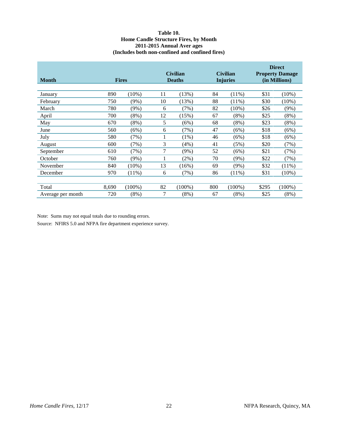#### **Table 10. Home Candle Structure Fires, by Month 2011-2015 Annual Aver ages (Includes both non-confined and confined fires)**

<span id="page-26-0"></span>

| <b>Month</b>      |       | <b>Fires</b> |    | <b>Civilian</b><br><b>Deaths</b> |     | <b>Civilian</b><br><b>Injuries</b> |       | <b>Direct</b><br><b>Property Damage</b><br>(in Millions) |
|-------------------|-------|--------------|----|----------------------------------|-----|------------------------------------|-------|----------------------------------------------------------|
|                   |       |              |    |                                  |     |                                    |       |                                                          |
| January           | 890   | $(10\%)$     | 11 | (13%)                            | 84  | $(11\%)$                           | \$31  | $(10\%)$                                                 |
| February          | 750   | $(9\%)$      | 10 | (13%)                            | 88  | $(11\%)$                           | \$30  | $(10\%)$                                                 |
| March             | 780   | $(9\%)$      | 6  | (7%)                             | 82  | $(10\%)$                           | \$26  | (9%)                                                     |
| April             | 700   | $(8\%)$      | 12 | (15%)                            | 67  | $(8\%)$                            | \$25  | (8%)                                                     |
| May               | 670   | $(8\%)$      | 5  | (6%)                             | 68  | (8%)                               | \$23  | (8%)                                                     |
| June              | 560   | (6%)         | 6  | (7%)                             | 47  | (6%)                               | \$18  | (6%)                                                     |
| July              | 580   | (7%)         |    | $(1\%)$                          | 46  | (6%)                               | \$18  | (6%)                                                     |
| August            | 600   | (7%)         | 3  | (4%)                             | 41  | (5%)                               | \$20  | (7%)                                                     |
| September         | 610   | (7%)         | 7  | $(9\%)$                          | 52  | (6%)                               | \$21  | (7%)                                                     |
| October           | 760   | $(9\%)$      |    | $(2\%)$                          | 70  | $(9\%)$                            | \$22  | (7%)                                                     |
| November          | 840   | $(10\%)$     | 13 | $(16\%)$                         | 69  | (9%)                               | \$32  | $(11\%)$                                                 |
| December          | 970   | $(11\%)$     | 6  | (7%)                             | 86  | $(11\%)$                           | \$31  | $(10\%)$                                                 |
|                   |       |              |    |                                  |     |                                    |       |                                                          |
| Total             | 8,690 | $(100\%)$    | 82 | $(100\%)$                        | 800 | $(100\%)$                          | \$295 | $(100\%)$                                                |
| Average per month | 720   | $(8\%)$      | 7  | $(8\%)$                          | 67  | $(8\%)$                            | \$25  | $(8\%)$                                                  |

Note: Sums may not equal totals due to rounding errors.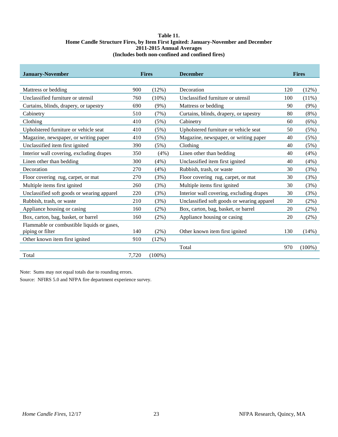#### **Table 11. Home Candle Structure Fires, by Item First Ignited: January-November and December 2011-2015 Annual Averages (Includes both non-confined and confined fires)**

<span id="page-27-0"></span>

| <b>January-November</b>                    |       | <b>Fires</b> | <b>December</b>                            | <b>Fires</b> |           |
|--------------------------------------------|-------|--------------|--------------------------------------------|--------------|-----------|
|                                            |       |              |                                            |              |           |
| Mattress or bedding                        | 900   | (12%)        | Decoration                                 | 120          | (12%)     |
| Unclassified furniture or utensil          | 760   | $(10\%)$     | Unclassified furniture or utensil          | 100          | $(11\%)$  |
| Curtains, blinds, drapery, or tapestry     | 690   | (9%)         | Mattress or bedding                        | 90           | $(9\%)$   |
| Cabinetry                                  | 510   | (7%)         | Curtains, blinds, drapery, or tapestry     | 80           | (8%)      |
| Clothing                                   | 410   | (5%)         | Cabinetry                                  | 60           | (6%)      |
| Upholstered furniture or vehicle seat      | 410   | (5%)         | Upholstered furniture or vehicle seat      | 50           | (5%)      |
| Magazine, newspaper, or writing paper      | 410   | (5%)         | Magazine, newspaper, or writing paper      | 40           | (5%)      |
| Unclassified item first ignited            | 390   | (5%)         | Clothing                                   | 40           | (5%)      |
| Interior wall covering, excluding drapes   | 350   | $(4\%)$      | Linen other than bedding                   | 40           | (4%)      |
| Linen other than bedding                   | 300   | (4%)         | Unclassified item first ignited            | 40           | (4%)      |
| Decoration                                 | 270   | (4%)         | Rubbish, trash, or waste                   | 30           | (3%)      |
| Floor covering rug, carpet, or mat         | 270   | (3%)         | Floor covering rug, carpet, or mat         | 30           | (3%)      |
| Multiple items first ignited               | 260   | (3%)         | Multiple items first ignited               | 30           | (3%)      |
| Unclassified soft goods or wearing apparel | 220   | (3%)         | Interior wall covering, excluding drapes   | 30           | (3%)      |
| Rubbish, trash, or waste                   | 210   | (3%)         | Unclassified soft goods or wearing apparel | 20           | $(2\%)$   |
| Appliance housing or casing                | 160   | (2%)         | Box, carton, bag, basket, or barrel        | 20           | $(2\%)$   |
| Box, carton, bag, basket, or barrel        | 160   | $(2\%)$      | Appliance housing or casing                | 20           | $(2\%)$   |
| Flammable or combustible liquids or gases, |       |              |                                            |              |           |
| piping or filter                           | 140   | $(2\%)$      | Other known item first ignited             | 130          | (14%)     |
| Other known item first ignited             | 910   | (12%)        |                                            |              |           |
|                                            |       |              | Total                                      | 970          | $(100\%)$ |
| Total                                      | 7,720 | $(100\%)$    |                                            |              |           |

Note: Sums may not equal totals due to rounding errors.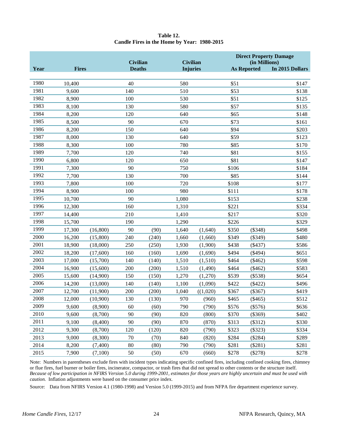| Table 12.                                   |  |
|---------------------------------------------|--|
| Candle Fires in the Home by Year: 1980-2015 |  |

<span id="page-28-0"></span>

|      |              |          | <b>Civilian</b> |       | <b>Civilian</b> |          |       | (in Millions)      | <b>Direct Property Damage</b> |
|------|--------------|----------|-----------------|-------|-----------------|----------|-------|--------------------|-------------------------------|
| Year | <b>Fires</b> |          | <b>Deaths</b>   |       | <b>Injuries</b> |          |       | <b>As Reported</b> | In 2015 Dollars               |
|      |              |          |                 |       |                 |          |       |                    |                               |
| 1980 | 10,400       |          | 40              |       | 580             |          | \$51  |                    | \$147                         |
| 1981 | 9,600        |          | 140             |       | 510             |          | \$53  |                    | \$138                         |
| 1982 | 8,900        |          | 100             |       | 530             |          | \$51  |                    | \$125                         |
| 1983 | 8,100        |          | 130             |       | 580             |          | \$57  |                    | \$135                         |
| 1984 | 8,200        |          | 120             |       | 640             |          | \$65  |                    | \$148                         |
| 1985 | 8,500        |          | 90              |       | 670             |          | \$73  |                    | \$161                         |
| 1986 | 8,200        |          | 150             |       | 640             |          | \$94  |                    | \$203                         |
| 1987 | 8,000        |          | 130             |       | 640             |          | \$59  |                    | \$123                         |
| 1988 | 8,300        |          | 100             |       | 780             |          | \$85  |                    | \$170                         |
| 1989 | 7,700        |          | 120             |       | 740             |          | \$81  |                    | \$155                         |
| 1990 | 6,800        |          | 120             |       | 650             |          | \$81  |                    | \$147                         |
| 1991 | 7,300        |          | 90              |       | 750             |          | \$106 |                    | \$184                         |
| 1992 | 7,700        |          | 130             |       | 700             |          | \$85  |                    | \$144                         |
| 1993 | 7,800        |          | 100             |       | 720             |          | \$108 |                    | \$177                         |
| 1994 | 8,900        |          | 100             |       | 980             |          | \$111 |                    | \$178                         |
| 1995 | 10,700       |          | 90              |       | 1,080           |          | \$153 |                    | \$238                         |
| 1996 | 12,300       |          | 160             |       | 1,310           |          | \$221 |                    | \$334                         |
| 1997 | 14,400       |          | 210             |       | 1,410           |          | \$217 |                    | \$320                         |
| 1998 | 15,700       |          | 190             |       | 1,290           |          | \$226 |                    | \$329                         |
| 1999 | 17,300       | (16,800) | 90              | (90)  | 1,640           | (1,640)  | \$350 | (\$348)            | \$498                         |
| 2000 | 16,200       | (15,800) | 240             | (240) | 1,660           | (1,660)  | \$349 | $(\$349)$          | \$480                         |
| 2001 | 18,900       | (18,000) | 250             | (250) | 1,930           | (1,900)  | \$438 | (\$437)            | \$586                         |
| 2002 | 18,200       | (17,600) | 160             | (160) | 1,690           | (1,690)  | \$494 | $(\$494)$          | \$651                         |
| 2003 | 17,000       | (15,700) | 140             | (140) | 1,510           | (1,510)  | \$464 | $(\$462)$          | \$598                         |
| 2004 | 16,900       | (15,600) | 200             | (200) | 1,510           | (1,490)  | \$464 | $(\$462)$          | \$583                         |
| 2005 | 15,600       | (14,900) | 150             | (150) | 1,270           | (1,270)  | \$539 | (\$538)            | \$654                         |
| 2006 | 14,200       | (13,000) | 140             | (140) | 1,100           | (1,090)  | \$422 | $(\$422)$          | \$496                         |
| 2007 | 12,700       | (11,900) | 200             | (200) | 1,040           | ((1,020) | \$367 | $(\$367)$          | \$419                         |
| 2008 | 12,000       | (10,900) | 130             | (130) | 970             | (960)    | \$465 | (\$465)            | \$512                         |
| 2009 | 9,600        | (8,900)  | 60              | (60)  | 790             | (790)    | \$576 | $(\$576)$          | \$636                         |
| 2010 | 9,600        | (8,700)  | 90              | (90)  | 820             | (800)    | \$370 | $(\$369)$          | \$402                         |
| 2011 | 9,100        | (8,400)  | 90              | (90)  | 870             | (870)    | \$313 | (\$312)            | \$330                         |
| 2012 | 9,300        | (8,700)  | 120             | (120) | 820             | (790)    | \$323 | (\$323)            | \$334                         |
| 2013 | 9,000        | (8,300)  | 70              | (70)  | 840             | (820)    | \$284 | $(\$284)$          | \$289                         |
| 2014 | 8,200        | (7,400)  | 80              | (80)  | 790             | (790)    | \$281 | $(\$281)$          | \$281                         |
| 2015 | 7,900        | (7,100)  | 50              | (50)  | 670             | (660)    | \$278 | (\$278)            | \$278                         |

Note: Numbers in parentheses exclude fires with incident types indicating specific confined fires, including confined cooking fires, chimney or flue fires, fuel burner or boiler fires, incinerator, compactor, or trash fires that did not spread to other contents or the structure itself. *Because of low participation in NFIRS Version 5.0 during 1999-2001, estimates for those years are highly uncertain and must be used with caution.* Inflation adjustments were based on the consumer price index.

Source: Data from NFIRS Version 4.1 (1980-1998) and Version 5.0 (1999-2015) and from NFPA fire department experience survey.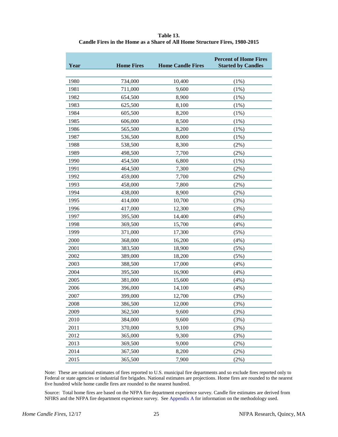<span id="page-29-0"></span>

| Table 13.                                                                  |
|----------------------------------------------------------------------------|
| Candle Fires in the Home as a Share of All Home Structure Fires, 1980-2015 |

| Year | <b>Home Fires</b> | <b>Home Candle Fires</b> | <b>Percent of Home Fires</b><br><b>Started by Candles</b> |
|------|-------------------|--------------------------|-----------------------------------------------------------|
| 1980 | 734,000           | 10,400                   | (1%)                                                      |
| 1981 | 711,000           | 9,600                    | (1%)                                                      |
| 1982 | 654,500           | 8,900                    | (1%)                                                      |
| 1983 | 625,500           | 8,100                    | (1%)                                                      |
| 1984 | 605,500           | 8,200                    | (1%)                                                      |
| 1985 | 606,000           | 8,500                    | (1%)                                                      |
| 1986 | 565,500           | 8,200                    | (1%)                                                      |
| 1987 | 536,500           | 8,000                    | (1%)                                                      |
| 1988 | 538,500           | 8,300                    | (2%)                                                      |
| 1989 | 498,500           | 7,700                    | (2%)                                                      |
| 1990 | 454,500           | 6,800                    | (1%)                                                      |
| 1991 | 464,500           | 7,300                    | (2%)                                                      |
| 1992 | 459,000           | 7,700                    | (2%)                                                      |
| 1993 | 458,000           | 7,800                    | (2%)                                                      |
| 1994 | 438,000           | 8,900                    | (2%)                                                      |
| 1995 | 414,000           | 10,700                   | (3%)                                                      |
| 1996 | 417,000           | 12,300                   | (3%)                                                      |
| 1997 | 395,500           | 14,400                   | (4%)                                                      |
| 1998 | 369,500           | 15,700                   | (4%)                                                      |
| 1999 | 371,000           | 17,300                   | (5%)                                                      |
| 2000 | 368,000           | 16,200                   | (4%)                                                      |
| 2001 | 383,500           | 18,900                   | (5%)                                                      |
| 2002 | 389,000           | 18,200                   | (5%)                                                      |
| 2003 | 388,500           | 17,000                   | (4%)                                                      |
| 2004 | 395,500           | 16,900                   | (4%)                                                      |
| 2005 | 381,000           | 15,600                   | (4%)                                                      |
| 2006 | 396,000           | 14,100                   | (4%)                                                      |
| 2007 | 399,000           | 12,700                   | (3%)                                                      |
| 2008 | 386,500           | 12,000                   | (3%)                                                      |
| 2009 | 362,500           | 9,600                    | (3%)                                                      |
| 2010 | 384,000           | 9,600                    | (3%)                                                      |
| 2011 | 370,000           | 9,100                    | (3%)                                                      |
| 2012 | 365,000           | 9,300                    | (3%)                                                      |
| 2013 | 369,500           | 9,000                    | (2%)                                                      |
| 2014 | 367,500           | 8,200                    | (2%)                                                      |
| 2015 | 365,500           | 7,900                    | (2%)                                                      |

Note: These are national estimates of fires reported to U.S. municipal fire departments and so exclude fires reported only to Federal or state agencies or industrial fire brigades. National estimates are projections. Home fires are rounded to the nearest five hundred while home candle fires are rounded to the nearest hundred.

Source: Total home fires are based on the NFPA fire department experience survey. Candle fire estimates are derived from NFIRS and the NFPA fire department experience survey. See [Appendix A](#page-30-1) for information on the methodology used.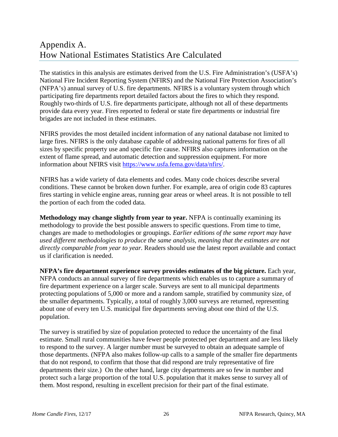# <span id="page-30-1"></span><span id="page-30-0"></span>Appendix A. How National Estimates Statistics Are Calculated

The statistics in this analysis are estimates derived from the U.S. Fire Administration's (USFA's) National Fire Incident Reporting System (NFIRS) and the National Fire Protection Association's (NFPA's) annual survey of U.S. fire departments. NFIRS is a voluntary system through which participating fire departments report detailed factors about the fires to which they respond. Roughly two-thirds of U.S. fire departments participate, although not all of these departments provide data every year. Fires reported to federal or state fire departments or industrial fire brigades are not included in these estimates.

NFIRS provides the most detailed incident information of any national database not limited to large fires. NFIRS is the only database capable of addressing national patterns for fires of all sizes by specific property use and specific fire cause. NFIRS also captures information on the extent of flame spread, and automatic detection and suppression equipment. For more information about NFIRS visit [https://www.usfa.fema.gov/data/nfirs/.](https://www.usfa.fema.gov/data/nfirs/)

NFIRS has a wide variety of data elements and codes. Many code choices describe several conditions. These cannot be broken down further. For example, area of origin code 83 captures fires starting in vehicle engine areas, running gear areas or wheel areas. It is not possible to tell the portion of each from the coded data.

**Methodology may change slightly from year to year.** NFPA is continually examining its methodology to provide the best possible answers to specific questions. From time to time, changes are made to methodologies or groupings. *Earlier editions of the same report may have used different methodologies to produce the same analysis, meaning that the estimates are not directly comparable from year to year.* Readers should use the latest report available and contact us if clarification is needed.

**NFPA's fire department experience survey provides estimates of the big picture.** Each year, NFPA conducts an annual survey of fire departments which enables us to capture a summary of fire department experience on a larger scale. Surveys are sent to all municipal departments protecting populations of 5,000 or more and a random sample, stratified by community size, of the smaller departments. Typically, a total of roughly 3,000 surveys are returned, representing about one of every ten U.S. municipal fire departments serving about one third of the U.S. population.

The survey is stratified by size of population protected to reduce the uncertainty of the final estimate. Small rural communities have fewer people protected per department and are less likely to respond to the survey. A larger number must be surveyed to obtain an adequate sample of those departments. (NFPA also makes follow-up calls to a sample of the smaller fire departments that do not respond, to confirm that those that did respond are truly representative of fire departments their size.) On the other hand, large city departments are so few in number and protect such a large proportion of the total U.S. population that it makes sense to survey all of them. Most respond, resulting in excellent precision for their part of the final estimate.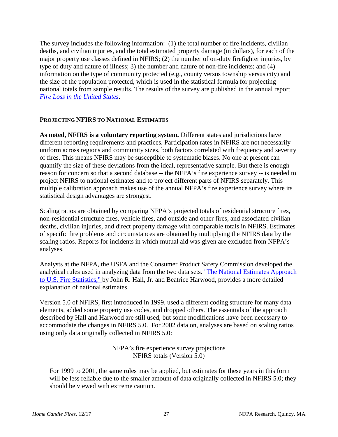The survey includes the following information: (1) the total number of fire incidents, civilian deaths, and civilian injuries, and the total estimated property damage (in dollars), for each of the major property use classes defined in NFIRS; (2) the number of on-duty firefighter injuries, by type of duty and nature of illness; 3) the number and nature of non-fire incidents; and (4) information on the type of community protected (e.g., county versus township versus city) and the size of the population protected, which is used in the statistical formula for projecting national totals from sample results. The results of the survey are published in the annual report *[Fire Loss in the United States](http://www.nfpa.org/-/media/Files/News-and-Research/Fire-statistics/Overall-Fire-Statistics/osFireLoss.pdf)*.

# **PROJECTING NFIRS TO NATIONAL ESTIMATES**

**As noted, NFIRS is a voluntary reporting system.** Different states and jurisdictions have different reporting requirements and practices. Participation rates in NFIRS are not necessarily uniform across regions and community sizes, both factors correlated with frequency and severity of fires. This means NFIRS may be susceptible to systematic biases. No one at present can quantify the size of these deviations from the ideal, representative sample. But there is enough reason for concern so that a second database -- the NFPA's fire experience survey -- is needed to project NFIRS to national estimates and to project different parts of NFIRS separately. This multiple calibration approach makes use of the annual NFPA's fire experience survey where its statistical design advantages are strongest.

Scaling ratios are obtained by comparing NFPA's projected totals of residential structure fires, non-residential structure fires, vehicle fires, and outside and other fires, and associated civilian deaths, civilian injuries, and direct property damage with comparable totals in NFIRS. Estimates of specific fire problems and circumstances are obtained by multiplying the NFIRS data by the scaling ratios. Reports for incidents in which mutual aid was given are excluded from NFPA's analyses.

Analysts at the NFPA, the USFA and the Consumer Product Safety Commission developed the analytical rules used in analyzing data from the two data sets. ["The National Estimates Approach](http://www.nfpa.org/assets/files/PDF/Research/NatlEstimatesHallHarwood.pdf)  [to U.S. Fire Statistics," b](http://www.nfpa.org/assets/files/PDF/Research/NatlEstimatesHallHarwood.pdf)y John R. Hall, Jr. and Beatrice Harwood, provides a more detailed explanation of national estimates.

Version 5.0 of NFIRS, first introduced in 1999, used a different coding structure for many data elements, added some property use codes, and dropped others. The essentials of the approach described by Hall and Harwood are still used, but some modifications have been necessary to accommodate the changes in NFIRS 5.0. For 2002 data on, analyses are based on scaling ratios using only data originally collected in NFIRS 5.0:

> NFPA's fire experience survey projections NFIRS totals (Version 5.0)

For 1999 to 2001, the same rules may be applied, but estimates for these years in this form will be less reliable due to the smaller amount of data originally collected in NFIRS 5.0; they should be viewed with extreme caution.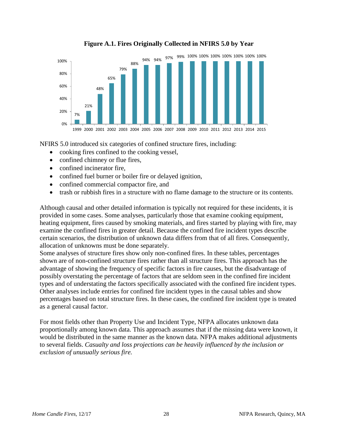

**Figure A.1. Fires Originally Collected in NFIRS 5.0 by Year**

NFIRS 5.0 introduced six categories of confined structure fires, including:

- cooking fires confined to the cooking vessel,
- confined chimney or flue fires,
- confined incinerator fire,
- confined fuel burner or boiler fire or delayed ignition,
- confined commercial compactor fire, and
- trash or rubbish fires in a structure with no flame damage to the structure or its contents.

Although causal and other detailed information is typically not required for these incidents, it is provided in some cases. Some analyses, particularly those that examine cooking equipment, heating equipment, fires caused by smoking materials, and fires started by playing with fire, may examine the confined fires in greater detail. Because the confined fire incident types describe certain scenarios, the distribution of unknown data differs from that of all fires. Consequently, allocation of unknowns must be done separately.

Some analyses of structure fires show only non-confined fires. In these tables, percentages shown are of non-confined structure fires rather than all structure fires. This approach has the advantage of showing the frequency of specific factors in fire causes, but the disadvantage of possibly overstating the percentage of factors that are seldom seen in the confined fire incident types and of understating the factors specifically associated with the confined fire incident types. Other analyses include entries for confined fire incident types in the causal tables and show percentages based on total structure fires. In these cases, the confined fire incident type is treated as a general causal factor.

For most fields other than Property Use and Incident Type, NFPA allocates unknown data proportionally among known data. This approach assumes that if the missing data were known, it would be distributed in the same manner as the known data. NFPA makes additional adjustments to several fields. *Casualty and loss projections can be heavily influenced by the inclusion or exclusion of unusually serious fire.*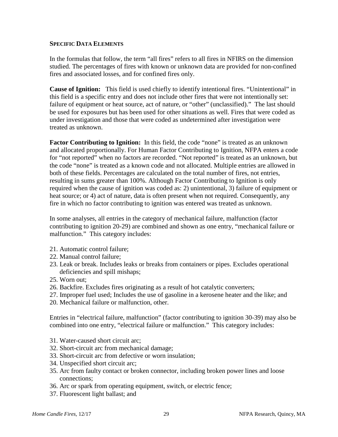## **SPECIFIC DATA ELEMENTS**

In the formulas that follow, the term "all fires" refers to all fires in NFIRS on the dimension studied. The percentages of fires with known or unknown data are provided for non-confined fires and associated losses, and for confined fires only.

**Cause of Ignition:** This field is used chiefly to identify intentional fires. "Unintentional" in this field is a specific entry and does not include other fires that were not intentionally set: failure of equipment or heat source, act of nature, or "other" (unclassified)." The last should be used for exposures but has been used for other situations as well. Fires that were coded as under investigation and those that were coded as undetermined after investigation were treated as unknown.

**Factor Contributing to Ignition:** In this field, the code "none" is treated as an unknown and allocated proportionally. For Human Factor Contributing to Ignition, NFPA enters a code for "not reported" when no factors are recorded. "Not reported" is treated as an unknown, but the code "none" is treated as a known code and not allocated. Multiple entries are allowed in both of these fields. Percentages are calculated on the total number of fires, not entries, resulting in sums greater than 100%. Although Factor Contributing to Ignition is only required when the cause of ignition was coded as: 2) unintentional, 3) failure of equipment or heat source; or 4) act of nature, data is often present when not required. Consequently, any fire in which no factor contributing to ignition was entered was treated as unknown.

In some analyses, all entries in the category of mechanical failure, malfunction (factor contributing to ignition 20-29) are combined and shown as one entry, "mechanical failure or malfunction." This category includes:

- 21. Automatic control failure;
- 22. Manual control failure;
- 23. Leak or break. Includes leaks or breaks from containers or pipes. Excludes operational deficiencies and spill mishaps;
- 25. Worn out;
- 26. Backfire. Excludes fires originating as a result of hot catalytic converters;
- 27. Improper fuel used; Includes the use of gasoline in a kerosene heater and the like; and
- 20. Mechanical failure or malfunction, other.

Entries in "electrical failure, malfunction" (factor contributing to ignition 30-39) may also be combined into one entry, "electrical failure or malfunction." This category includes:

- 31. Water-caused short circuit arc;
- 32. Short-circuit arc from mechanical damage;
- 33. Short-circuit arc from defective or worn insulation;
- 34. Unspecified short circuit arc;
- 35. Arc from faulty contact or broken connector, including broken power lines and loose connections;
- 36. Arc or spark from operating equipment, switch, or electric fence;
- 37. Fluorescent light ballast; and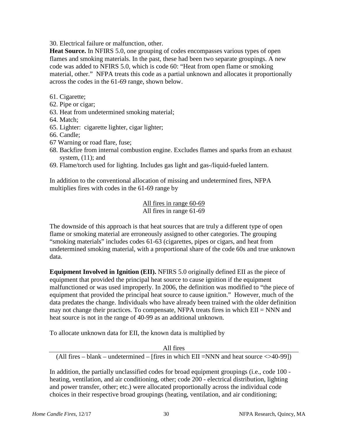30. Electrical failure or malfunction, other.

**Heat Source.** In NFIRS 5.0, one grouping of codes encompasses various types of open flames and smoking materials. In the past, these had been two separate groupings. A new code was added to NFIRS 5.0, which is code 60: "Heat from open flame or smoking material, other." NFPA treats this code as a partial unknown and allocates it proportionally across the codes in the 61-69 range, shown below.

- 61. Cigarette;
- 62. Pipe or cigar;
- 63. Heat from undetermined smoking material;
- 64. Match;
- 65. Lighter: cigarette lighter, cigar lighter;
- 66. Candle;
- 67 Warning or road flare, fuse;
- 68. Backfire from internal combustion engine. Excludes flames and sparks from an exhaust system,  $(11)$ ; and
- 69. Flame/torch used for lighting. Includes gas light and gas-/liquid-fueled lantern.

In addition to the conventional allocation of missing and undetermined fires, NFPA multiplies fires with codes in the 61-69 range by

> All fires in range 60-69 All fires in range 61-69

The downside of this approach is that heat sources that are truly a different type of open flame or smoking material are erroneously assigned to other categories. The grouping "smoking materials" includes codes 61-63 (cigarettes, pipes or cigars, and heat from undetermined smoking material, with a proportional share of the code 60s and true unknown data.

**Equipment Involved in Ignition (EII).** NFIRS 5.0 originally defined EII as the piece of equipment that provided the principal heat source to cause ignition if the equipment malfunctioned or was used improperly. In 2006, the definition was modified to "the piece of equipment that provided the principal heat source to cause ignition." However, much of the data predates the change. Individuals who have already been trained with the older definition may not change their practices. To compensate, NFPA treats fires in which  $EII = NNN$  and heat source is not in the range of 40-99 as an additional unknown.

To allocate unknown data for EII, the known data is multiplied by

All fires

(All fires – blank – undetermined – [fires in which  $EII = NNN$  and heat source  $\langle >40-99 \rangle$ ])

In addition, the partially unclassified codes for broad equipment groupings (i.e., code 100 heating, ventilation, and air conditioning, other; code 200 - electrical distribution, lighting and power transfer, other; etc.) were allocated proportionally across the individual code choices in their respective broad groupings (heating, ventilation, and air conditioning;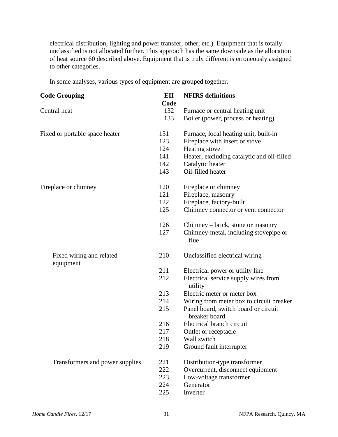electrical distribution, lighting and power transfer, other; etc.). Equipment that is totally unclassified is not allocated further. This approach has the same downside as the allocation of heat source 60 described above. Equipment that is truly different is erroneously assigned to other categories.

In some analyses, various types of equipment are grouped together.

| <b>Code Grouping</b>                  | EII<br>Code | <b>NFIRS</b> definitions                                              |
|---------------------------------------|-------------|-----------------------------------------------------------------------|
| Central heat                          | 132<br>133  | Furnace or central heating unit<br>Boiler (power, process or heating) |
| Fixed or portable space heater        | 131         | Furnace, local heating unit, built-in                                 |
|                                       | 123         | Fireplace with insert or stove                                        |
|                                       | 124         | Heating stove                                                         |
|                                       | 141         | Heater, excluding catalytic and oil-filled                            |
|                                       | 142         | Catalytic heater                                                      |
|                                       | 143         | Oil-filled heater                                                     |
| Fireplace or chimney                  | 120         | Fireplace or chimney                                                  |
|                                       | 121         | Fireplace, masonry                                                    |
|                                       | 122         | Fireplace, factory-built                                              |
|                                       | 125         | Chimney connector or vent connector                                   |
|                                       | 126         | Chimney – brick, stone or masonry                                     |
|                                       | 127         | Chimney-metal, including stovepipe or<br>flue                         |
| Fixed wiring and related<br>equipment | 210         | Unclassified electrical wiring                                        |
|                                       | 211         | Electrical power or utility line                                      |
|                                       | 212         | Electrical service supply wires from<br>utility                       |
|                                       | 213         | Electric meter or meter box                                           |
|                                       | 214         | Wiring from meter box to circuit breaker                              |
|                                       | 215         | Panel board, switch board or circuit<br>breaker board                 |
|                                       | 216         | Electrical branch circuit                                             |
|                                       | 217         | Outlet or receptacle                                                  |
|                                       | 218         | Wall switch                                                           |
|                                       | 219         | Ground fault interrupter                                              |
| Transformers and power supplies       | 221         | Distribution-type transformer                                         |
|                                       | 222         | Overcurrent, disconnect equipment                                     |
|                                       | 223         | Low-voltage transformer                                               |
|                                       | 224         | Generator                                                             |
|                                       | 225         | Inverter                                                              |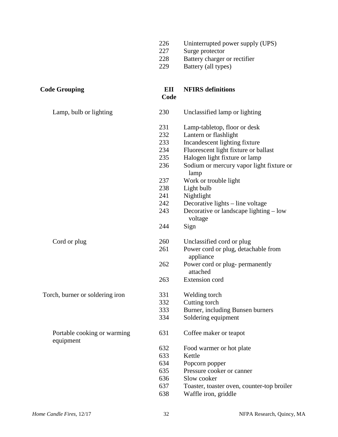|                                          | 226<br>227<br>228<br>229 | Uninterrupted power supply (UPS)<br>Surge protector<br>Battery charger or rectifier<br>Battery (all types) |
|------------------------------------------|--------------------------|------------------------------------------------------------------------------------------------------------|
| <b>Code Grouping</b>                     | EII<br>Code              | <b>NFIRS</b> definitions                                                                                   |
| Lamp, bulb or lighting                   | 230                      | Unclassified lamp or lighting                                                                              |
|                                          | 231<br>232               | Lamp-tabletop, floor or desk<br>Lantern or flashlight                                                      |
|                                          | 233                      | Incandescent lighting fixture                                                                              |
|                                          | 234                      | Fluorescent light fixture or ballast                                                                       |
|                                          | 235                      | Halogen light fixture or lamp                                                                              |
|                                          | 236                      | Sodium or mercury vapor light fixture or<br>lamp                                                           |
|                                          | 237                      | Work or trouble light                                                                                      |
|                                          | 238                      | Light bulb                                                                                                 |
|                                          | 241                      | Nightlight                                                                                                 |
|                                          | 242                      | Decorative lights - line voltage                                                                           |
|                                          | 243                      | Decorative or landscape lighting – low<br>voltage                                                          |
|                                          | 244                      | Sign                                                                                                       |
| Cord or plug                             | 260                      | Unclassified cord or plug                                                                                  |
|                                          | 261                      | Power cord or plug, detachable from<br>appliance                                                           |
|                                          | 262                      | Power cord or plug- permanently<br>attached                                                                |
|                                          | 263                      | Extension cord                                                                                             |
| Torch, burner or soldering iron          | 331                      | Welding torch                                                                                              |
|                                          | 332                      | Cutting torch                                                                                              |
|                                          | 333                      | Burner, including Bunsen burners                                                                           |
|                                          | 334                      | Soldering equipment                                                                                        |
| Portable cooking or warming<br>equipment | 631                      | Coffee maker or teapot                                                                                     |
|                                          | 632                      | Food warmer or hot plate                                                                                   |
|                                          | 633                      | Kettle                                                                                                     |
|                                          | 634                      | Popcorn popper                                                                                             |
|                                          | 635                      | Pressure cooker or canner                                                                                  |
|                                          | 636                      | Slow cooker                                                                                                |
|                                          | 637                      | Toaster, toaster oven, counter-top broiler                                                                 |
|                                          | 638                      | Waffle iron, griddle                                                                                       |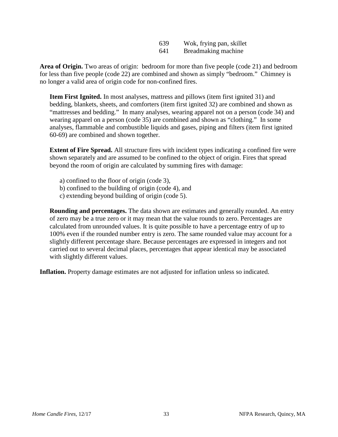| 639 | Wok, frying pan, skillet |
|-----|--------------------------|
| 641 | Breadmaking machine      |

**Area of Origin.** Two areas of origin: bedroom for more than five people (code 21) and bedroom for less than five people (code 22) are combined and shown as simply "bedroom." Chimney is no longer a valid area of origin code for non-confined fires.

**Item First Ignited.** In most analyses, mattress and pillows (item first ignited 31) and bedding, blankets, sheets, and comforters (item first ignited 32) are combined and shown as "mattresses and bedding." In many analyses, wearing apparel not on a person (code 34) and wearing apparel on a person (code 35) are combined and shown as "clothing." In some analyses, flammable and combustible liquids and gases, piping and filters (item first ignited 60-69) are combined and shown together.

**Extent of Fire Spread.** All structure fires with incident types indicating a confined fire were shown separately and are assumed to be confined to the object of origin. Fires that spread beyond the room of origin are calculated by summing fires with damage:

- a) confined to the floor of origin (code 3),
- b) confined to the building of origin (code 4), and
- c) extending beyond building of origin (code 5).

**Rounding and percentages.** The data shown are estimates and generally rounded. An entry of zero may be a true zero or it may mean that the value rounds to zero. Percentages are calculated from unrounded values. It is quite possible to have a percentage entry of up to 100% even if the rounded number entry is zero. The same rounded value may account for a slightly different percentage share. Because percentages are expressed in integers and not carried out to several decimal places, percentages that appear identical may be associated with slightly different values.

**Inflation.** Property damage estimates are not adjusted for inflation unless so indicated.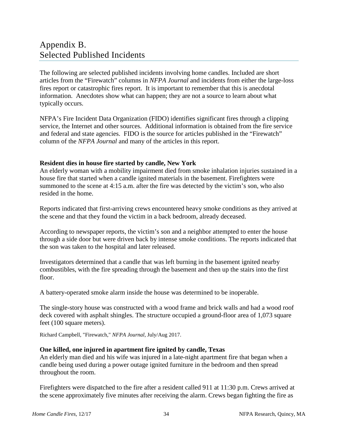# <span id="page-38-1"></span><span id="page-38-0"></span>Appendix B. Selected Published Incidents

The following are selected published incidents involving home candles. Included are short articles from the "Firewatch" columns in *NFPA Journal* and incidents from either the large-loss fires report or catastrophic fires report. It is important to remember that this is anecdotal information. Anecdotes show what can happen; they are not a source to learn about what typically occurs.

NFPA's Fire Incident Data Organization (FIDO) identifies significant fires through a clipping service, the Internet and other sources. Additional information is obtained from the fire service and federal and state agencies. FIDO is the source for articles published in the "Firewatch" column of the *NFPA Journal* and many of the articles in this report.

# **Resident dies in house fire started by candle, New York**

An elderly woman with a mobility impairment died from smoke inhalation injuries sustained in a house fire that started when a candle ignited materials in the basement. Firefighters were summoned to the scene at 4:15 a.m. after the fire was detected by the victim's son, who also resided in the home.

Reports indicated that first-arriving crews encountered heavy smoke conditions as they arrived at the scene and that they found the victim in a back bedroom, already deceased.

According to newspaper reports, the victim's son and a neighbor attempted to enter the house through a side door but were driven back by intense smoke conditions. The reports indicated that the son was taken to the hospital and later released.

Investigators determined that a candle that was left burning in the basement ignited nearby combustibles, with the fire spreading through the basement and then up the stairs into the first floor.

A battery-operated smoke alarm inside the house was determined to be inoperable.

The single-story house was constructed with a wood frame and brick walls and had a wood roof deck covered with asphalt shingles. The structure occupied a ground-floor area of 1,073 square feet (100 square meters).

Richard Campbell, "Firewatch," *NFPA Journal*, July/Aug 2017.

# **One killed, one injured in apartment fire ignited by candle, Texas**

An elderly man died and his wife was injured in a late-night apartment fire that began when a candle being used during a power outage ignited furniture in the bedroom and then spread throughout the room.

Firefighters were dispatched to the fire after a resident called 911 at 11:30 p.m. Crews arrived at the scene approximately five minutes after receiving the alarm. Crews began fighting the fire as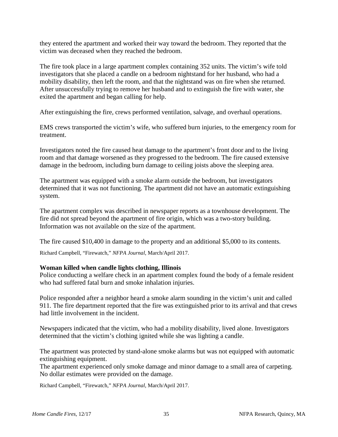they entered the apartment and worked their way toward the bedroom. They reported that the victim was deceased when they reached the bedroom.

The fire took place in a large apartment complex containing 352 units. The victim's wife told investigators that she placed a candle on a bedroom nightstand for her husband, who had a mobility disability, then left the room, and that the nightstand was on fire when she returned. After unsuccessfully trying to remove her husband and to extinguish the fire with water, she exited the apartment and began calling for help.

After extinguishing the fire, crews performed ventilation, salvage, and overhaul operations.

EMS crews transported the victim's wife, who suffered burn injuries, to the emergency room for treatment.

Investigators noted the fire caused heat damage to the apartment's front door and to the living room and that damage worsened as they progressed to the bedroom. The fire caused extensive damage in the bedroom, including burn damage to ceiling joists above the sleeping area.

The apartment was equipped with a smoke alarm outside the bedroom, but investigators determined that it was not functioning. The apartment did not have an automatic extinguishing system.

The apartment complex was described in newspaper reports as a townhouse development. The fire did not spread beyond the apartment of fire origin, which was a two-story building. Information was not available on the size of the apartment.

The fire caused \$10,400 in damage to the property and an additional \$5,000 to its contents.

Richard Campbell, "Firewatch," *NFPA Journal*, March/April 2017.

# **Woman killed when candle lights clothing, Illinois**

Police conducting a welfare check in an apartment complex found the body of a female resident who had suffered fatal burn and smoke inhalation injuries.

Police responded after a neighbor heard a smoke alarm sounding in the victim's unit and called 911. The fire department reported that the fire was extinguished prior to its arrival and that crews had little involvement in the incident.

Newspapers indicated that the victim, who had a mobility disability, lived alone. Investigators determined that the victim's clothing ignited while she was lighting a candle.

The apartment was protected by stand-alone smoke alarms but was not equipped with automatic extinguishing equipment.

The apartment experienced only smoke damage and minor damage to a small area of carpeting. No dollar estimates were provided on the damage.

Richard Campbell, "Firewatch," *NFPA Journal*, March/April 2017.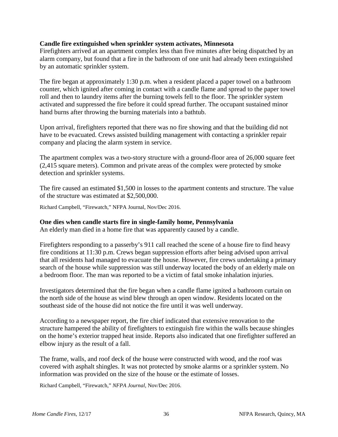# **Candle fire extinguished when sprinkler system activates, Minnesota**

Firefighters arrived at an apartment complex less than five minutes after being dispatched by an alarm company, but found that a fire in the bathroom of one unit had already been extinguished by an automatic sprinkler system.

The fire began at approximately 1:30 p.m. when a resident placed a paper towel on a bathroom counter, which ignited after coming in contact with a candle flame and spread to the paper towel roll and then to laundry items after the burning towels fell to the floor. The sprinkler system activated and suppressed the fire before it could spread further. The occupant sustained minor hand burns after throwing the burning materials into a bathtub.

Upon arrival, firefighters reported that there was no fire showing and that the building did not have to be evacuated. Crews assisted building management with contacting a sprinkler repair company and placing the alarm system in service.

The apartment complex was a two-story structure with a ground-floor area of 26,000 square feet (2,415 square meters). Common and private areas of the complex were protected by smoke detection and sprinkler systems.

The fire caused an estimated \$1,500 in losses to the apartment contents and structure. The value of the structure was estimated at \$2,500,000.

Richard Campbell, "Firewatch," NFPA Journal, Nov/Dec 2016.

# **One dies when candle starts fire in single-family home, Pennsylvania**

An elderly man died in a home fire that was apparently caused by a candle.

Firefighters responding to a passerby's 911 call reached the scene of a house fire to find heavy fire conditions at 11:30 p.m. Crews began suppression efforts after being advised upon arrival that all residents had managed to evacuate the house. However, fire crews undertaking a primary search of the house while suppression was still underway located the body of an elderly male on a bedroom floor. The man was reported to be a victim of fatal smoke inhalation injuries.

Investigators determined that the fire began when a candle flame ignited a bathroom curtain on the north side of the house as wind blew through an open window. Residents located on the southeast side of the house did not notice the fire until it was well underway.

According to a newspaper report, the fire chief indicated that extensive renovation to the structure hampered the ability of firefighters to extinguish fire within the walls because shingles on the home's exterior trapped heat inside. Reports also indicated that one firefighter suffered an elbow injury as the result of a fall.

The frame, walls, and roof deck of the house were constructed with wood, and the roof was covered with asphalt shingles. It was not protected by smoke alarms or a sprinkler system. No information was provided on the size of the house or the estimate of losses.

Richard Campbell, "Firewatch," *NFPA Journal*, Nov/Dec 2016.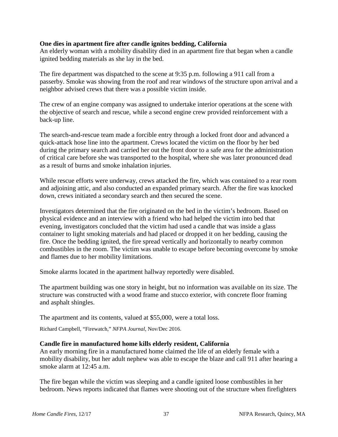# **One dies in apartment fire after candle ignites bedding, California**

An elderly woman with a mobility disability died in an apartment fire that began when a candle ignited bedding materials as she lay in the bed.

The fire department was dispatched to the scene at 9:35 p.m. following a 911 call from a passerby. Smoke was showing from the roof and rear windows of the structure upon arrival and a neighbor advised crews that there was a possible victim inside.

The crew of an engine company was assigned to undertake interior operations at the scene with the objective of search and rescue, while a second engine crew provided reinforcement with a back-up line.

The search-and-rescue team made a forcible entry through a locked front door and advanced a quick-attack hose line into the apartment. Crews located the victim on the floor by her bed during the primary search and carried her out the front door to a safe area for the administration of critical care before she was transported to the hospital, where she was later pronounced dead as a result of burns and smoke inhalation injuries.

While rescue efforts were underway, crews attacked the fire, which was contained to a rear room and adjoining attic, and also conducted an expanded primary search. After the fire was knocked down, crews initiated a secondary search and then secured the scene.

Investigators determined that the fire originated on the bed in the victim's bedroom. Based on physical evidence and an interview with a friend who had helped the victim into bed that evening, investigators concluded that the victim had used a candle that was inside a glass container to light smoking materials and had placed or dropped it on her bedding, causing the fire. Once the bedding ignited, the fire spread vertically and horizontally to nearby common combustibles in the room. The victim was unable to escape before becoming overcome by smoke and flames due to her mobility limitations.

Smoke alarms located in the apartment hallway reportedly were disabled.

The apartment building was one story in height, but no information was available on its size. The structure was constructed with a wood frame and stucco exterior, with concrete floor framing and asphalt shingles.

The apartment and its contents, valued at \$55,000, were a total loss.

Richard Campbell, "Firewatch," *NFPA Journal*, Nov/Dec 2016.

# **Candle fire in manufactured home kills elderly resident, California**

An early morning fire in a manufactured home claimed the life of an elderly female with a mobility disability, but her adult nephew was able to escape the blaze and call 911 after hearing a smoke alarm at 12:45 a.m.

The fire began while the victim was sleeping and a candle ignited loose combustibles in her bedroom. News reports indicated that flames were shooting out of the structure when firefighters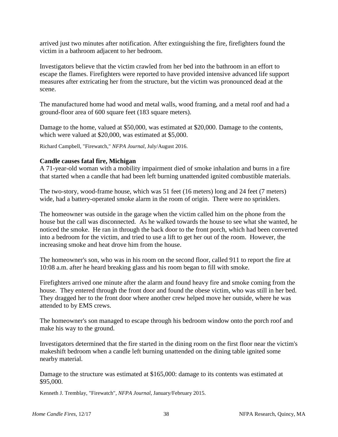arrived just two minutes after notification. After extinguishing the fire, firefighters found the victim in a bathroom adjacent to her bedroom.

Investigators believe that the victim crawled from her bed into the bathroom in an effort to escape the flames. Firefighters were reported to have provided intensive advanced life support measures after extricating her from the structure, but the victim was pronounced dead at the scene.

The manufactured home had wood and metal walls, wood framing, and a metal roof and had a ground-floor area of 600 square feet (183 square meters).

Damage to the home, valued at \$50,000, was estimated at \$20,000. Damage to the contents, which were valued at \$20,000, was estimated at \$5,000.

Richard Campbell, "Firewatch," *NFPA Journal*, July/August 2016.

# **Candle causes fatal fire, Michigan**

A 71-year-old woman with a mobility impairment died of smoke inhalation and burns in a fire that started when a candle that had been left burning unattended ignited combustible materials.

The two-story, wood-frame house, which was 51 feet (16 meters) long and 24 feet (7 meters) wide, had a battery-operated smoke alarm in the room of origin. There were no sprinklers.

The homeowner was outside in the garage when the victim called him on the phone from the house but the call was disconnected. As he walked towards the house to see what she wanted, he noticed the smoke. He ran in through the back door to the front porch, which had been converted into a bedroom for the victim, and tried to use a lift to get her out of the room. However, the increasing smoke and heat drove him from the house.

The homeowner's son, who was in his room on the second floor, called 911 to report the fire at 10:08 a.m. after he heard breaking glass and his room began to fill with smoke.

Firefighters arrived one minute after the alarm and found heavy fire and smoke coming from the house. They entered through the front door and found the obese victim, who was still in her bed. They dragged her to the front door where another crew helped move her outside, where he was attended to by EMS crews.

The homeowner's son managed to escape through his bedroom window onto the porch roof and make his way to the ground.

Investigators determined that the fire started in the dining room on the first floor near the victim's makeshift bedroom when a candle left burning unattended on the dining table ignited some nearby material.

Damage to the structure was estimated at \$165,000: damage to its contents was estimated at \$95,000.

Kenneth J. Tremblay, "Firewatch", *NFPA Journal*, January/February 2015.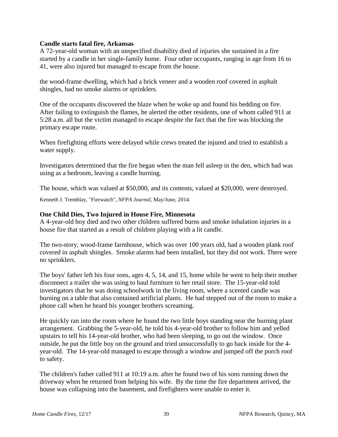# **Candle starts fatal fire, Arkansas**

A 72-year-old woman with an unspecified disability died of injuries she sustained in a fire started by a candle in her single-family home. Four other occupants, ranging in age from 16 to 41, were also injured but managed to escape from the house.

the wood-frame dwelling, which had a brick veneer and a wooden roof covered in asphalt shingles, had no smoke alarms or sprinklers.

One of the occupants discovered the blaze when he woke up and found his bedding on fire. After failing to extinguish the flames, he alerted the other residents, one of whom called 911 at 5:28 a.m. all but the victim managed to escape despite the fact that the fire was blocking the primary escape route.

When firefighting efforts were delayed while crews treated the injured and tried to establish a water supply.

Investigators determined that the fire began when the man fell asleep in the den, which had was using as a bedroom, leaving a candle burning.

The house, which was valued at \$50,000, and its contents, valued at \$20,000, were destroyed.

Kenneth J. Tremblay, "Firewatch", *NFPA Journal*, May/June, 2014.

# **One Child Dies, Two Injured in House Fire, Minnesota**

A 4-year-old boy died and two other children suffered burns and smoke inhalation injuries in a house fire that started as a result of children playing with a lit candle.

The two-story, wood-frame farmhouse, which was over 100 years old, had a wooden plank roof covered in asphalt shingles. Smoke alarms had been installed, but they did not work. There were no sprinklers.

The boys' father left his four sons, ages 4, 5, 14, and 15, home while he went to help their mother disconnect a trailer she was using to haul furniture to her retail store. The 15-year-old told investigators that he was doing schoolwork in the living room, where a scented candle was burning on a table that also contained artificial plants. He had stepped out of the room to make a phone call when he heard his younger brothers screaming.

He quickly ran into the room where he found the two little boys standing near the burning plant arrangement. Grabbing the 5-year-old, he told his 4-year-old brother to follow him and yelled upstairs to tell his 14-year-old brother, who had been sleeping, to go out the window. Once outside, he put the little boy on the ground and tried unsuccessfully to go back inside for the 4 year-old. The 14-year-old managed to escape through a window and jumped off the porch roof to safety.

The children's father called 911 at 10:19 a.m. after he found two of his sons running down the driveway when he returned from helping his wife. By the time the fire department arrived, the house was collapsing into the basement, and firefighters were unable to enter it.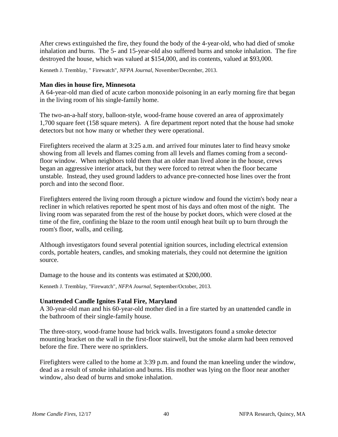After crews extinguished the fire, they found the body of the 4-year-old, who had died of smoke inhalation and burns. The 5- and 15-year-old also suffered burns and smoke inhalation. The fire destroyed the house, which was valued at \$154,000, and its contents, valued at \$93,000.

Kenneth J. Tremblay, " Firewatch", *NFPA Journal*, November/December, 2013.

# **Man dies in house fire, Minnesota**

A 64-year-old man died of acute carbon monoxide poisoning in an early morning fire that began in the living room of his single-family home.

The two-an-a-half story, balloon-style, wood-frame house covered an area of approximately 1,700 square feet (158 square meters). A fire department report noted that the house had smoke detectors but not how many or whether they were operational.

Firefighters received the alarm at 3:25 a.m. and arrived four minutes later to find heavy smoke showing from all levels and flames coming from all levels and flames coming from a secondfloor window. When neighbors told them that an older man lived alone in the house, crews began an aggressive interior attack, but they were forced to retreat when the floor became unstable. Instead, they used ground ladders to advance pre-connected hose lines over the front porch and into the second floor.

Firefighters entered the living room through a picture window and found the victim's body near a recliner in which relatives reported he spent most of his days and often most of the night. The living room was separated from the rest of the house by pocket doors, which were closed at the time of the fire, confining the blaze to the room until enough heat built up to burn through the room's floor, walls, and ceiling.

Although investigators found several potential ignition sources, including electrical extension cords, portable heaters, candles, and smoking materials, they could not determine the ignition source.

Damage to the house and its contents was estimated at \$200,000.

Kenneth J. Tremblay, "Firewatch", *NFPA Journal*, September/October, 2013.

# **Unattended Candle Ignites Fatal Fire, Maryland**

A 30-year-old man and his 60-year-old mother died in a fire started by an unattended candle in the bathroom of their single-family house.

The three-story, wood-frame house had brick walls. Investigators found a smoke detector mounting bracket on the wall in the first-floor stairwell, but the smoke alarm had been removed before the fire. There were no sprinklers.

Firefighters were called to the home at 3:39 p.m. and found the man kneeling under the window, dead as a result of smoke inhalation and burns. His mother was lying on the floor near another window, also dead of burns and smoke inhalation.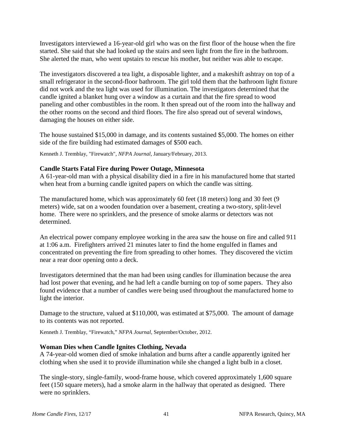Investigators interviewed a 16-year-old girl who was on the first floor of the house when the fire started. She said that she had looked up the stairs and seen light from the fire in the bathroom. She alerted the man, who went upstairs to rescue his mother, but neither was able to escape.

The investigators discovered a tea light, a disposable lighter, and a makeshift ashtray on top of a small refrigerator in the second-floor bathroom. The girl told them that the bathroom light fixture did not work and the tea light was used for illumination. The investigators determined that the candle ignited a blanket hung over a window as a curtain and that the fire spread to wood paneling and other combustibles in the room. It then spread out of the room into the hallway and the other rooms on the second and third floors. The fire also spread out of several windows, damaging the houses on either side.

The house sustained \$15,000 in damage, and its contents sustained \$5,000. The homes on either side of the fire building had estimated damages of \$500 each.

Kenneth J. Tremblay, "Firewatch", *NFPA Journal*, January/February, 2013.

# **Candle Starts Fatal Fire during Power Outage, Minnesota**

A 61-year-old man with a physical disability died in a fire in his manufactured home that started when heat from a burning candle ignited papers on which the candle was sitting.

The manufactured home, which was approximately 60 feet (18 meters) long and 30 feet (9 meters) wide, sat on a wooden foundation over a basement, creating a two-story, split-level home. There were no sprinklers, and the presence of smoke alarms or detectors was not determined.

An electrical power company employee working in the area saw the house on fire and called 911 at 1:06 a.m. Firefighters arrived 21 minutes later to find the home engulfed in flames and concentrated on preventing the fire from spreading to other homes. They discovered the victim near a rear door opening onto a deck.

Investigators determined that the man had been using candles for illumination because the area had lost power that evening, and he had left a candle burning on top of some papers. They also found evidence that a number of candles were being used throughout the manufactured home to light the interior.

Damage to the structure, valued at \$110,000, was estimated at \$75,000. The amount of damage to its contents was not reported.

Kenneth J. Tremblay, "Firewatch," *NFPA Journal,* September/October, 2012.

# **Woman Dies when Candle Ignites Clothing, Nevada**

A 74-year-old women died of smoke inhalation and burns after a candle apparently ignited her clothing when she used it to provide illumination while she changed a light bulb in a closet.

The single-story, single-family, wood-frame house, which covered approximately 1,600 square feet (150 square meters), had a smoke alarm in the hallway that operated as designed. There were no sprinklers.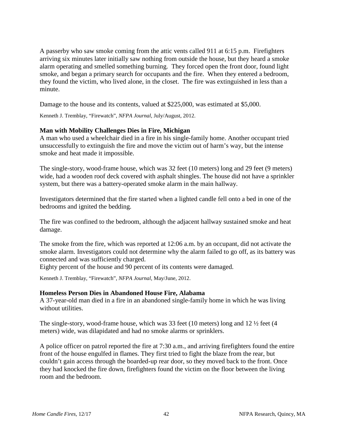A passerby who saw smoke coming from the attic vents called 911 at 6:15 p.m. Firefighters arriving six minutes later initially saw nothing from outside the house, but they heard a smoke alarm operating and smelled something burning. They forced open the front door, found light smoke, and began a primary search for occupants and the fire. When they entered a bedroom, they found the victim, who lived alone, in the closet. The fire was extinguished in less than a minute.

Damage to the house and its contents, valued at \$225,000, was estimated at \$5,000.

Kenneth J. Tremblay, "Firewatch", *NFPA Journal*, July/August, 2012.

# **Man with Mobility Challenges Dies in Fire, Michigan**

A man who used a wheelchair died in a fire in his single-family home. Another occupant tried unsuccessfully to extinguish the fire and move the victim out of harm's way, but the intense smoke and heat made it impossible.

The single-story, wood-frame house, which was 32 feet (10 meters) long and 29 feet (9 meters) wide, had a wooden roof deck covered with asphalt shingles. The house did not have a sprinkler system, but there was a battery-operated smoke alarm in the main hallway.

Investigators determined that the fire started when a lighted candle fell onto a bed in one of the bedrooms and ignited the bedding.

The fire was confined to the bedroom, although the adjacent hallway sustained smoke and heat damage.

The smoke from the fire, which was reported at 12:06 a.m. by an occupant, did not activate the smoke alarm. Investigators could not determine why the alarm failed to go off, as its battery was connected and was sufficiently charged.

Eighty percent of the house and 90 percent of its contents were damaged.

Kenneth J. Tremblay, "Firewatch", *NFPA Journal*, May/June, 2012.

#### **Homeless Person Dies in Abandoned House Fire, Alabama**

A 37-year-old man died in a fire in an abandoned single-family home in which he was living without utilities.

The single-story, wood-frame house, which was 33 feet (10 meters) long and 12  $\frac{1}{2}$  feet (4 meters) wide, was dilapidated and had no smoke alarms or sprinklers.

A police officer on patrol reported the fire at 7:30 a.m., and arriving firefighters found the entire front of the house engulfed in flames. They first tried to fight the blaze from the rear, but couldn't gain access through the boarded-up rear door, so they moved back to the front. Once they had knocked the fire down, firefighters found the victim on the floor between the living room and the bedroom.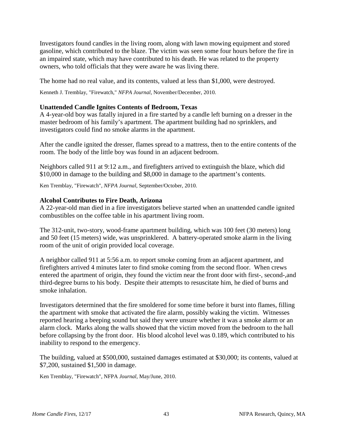Investigators found candles in the living room, along with lawn mowing equipment and stored gasoline, which contributed to the blaze. The victim was seen some four hours before the fire in an impaired state, which may have contributed to his death. He was related to the property owners, who told officials that they were aware he was living there.

The home had no real value, and its contents, valued at less than \$1,000, were destroyed.

Kenneth J. Tremblay, "Firewatch," *NFPA Journal*, November/December, 2010.

# **Unattended Candle Ignites Contents of Bedroom, Texas**

A 4-year-old boy was fatally injured in a fire started by a candle left burning on a dresser in the master bedroom of his family's apartment. The apartment building had no sprinklers, and investigators could find no smoke alarms in the apartment.

After the candle ignited the dresser, flames spread to a mattress, then to the entire contents of the room. The body of the little boy was found in an adjacent bedroom.

Neighbors called 911 at 9:12 a.m., and firefighters arrived to extinguish the blaze, which did \$10,000 in damage to the building and \$8,000 in damage to the apartment's contents.

Ken Tremblay, "Firewatch", *NFPA Journal*, September/October, 2010.

# **Alcohol Contributes to Fire Death, Arizona**

A 22-year-old man died in a fire investigators believe started when an unattended candle ignited combustibles on the coffee table in his apartment living room.

The 312-unit, two-story, wood-frame apartment building, which was 100 feet (30 meters) long and 50 feet (15 meters) wide, was unsprinklered. A battery-operated smoke alarm in the living room of the unit of origin provided local coverage.

A neighbor called 911 at 5:56 a.m. to report smoke coming from an adjacent apartment, and firefighters arrived 4 minutes later to find smoke coming from the second floor. When crews entered the apartment of origin, they found the victim near the front door with first-, second-,and third-degree burns to his body. Despite their attempts to resuscitate him, he died of burns and smoke inhalation.

Investigators determined that the fire smoldered for some time before it burst into flames, filling the apartment with smoke that activated the fire alarm, possibly waking the victim. Witnesses reported hearing a beeping sound but said they were unsure whether it was a smoke alarm or an alarm clock. Marks along the walls showed that the victim moved from the bedroom to the hall before collapsing by the front door. His blood alcohol level was 0.189, which contributed to his inability to respond to the emergency.

The building, valued at \$500,000, sustained damages estimated at \$30,000; its contents, valued at \$7,200, sustained \$1,500 in damage.

Ken Tremblay, "Firewatch", NFPA *Journal*, May/June, 2010.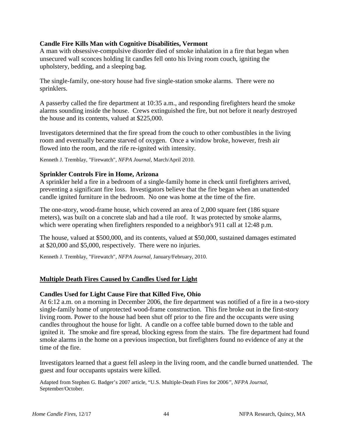# **Candle Fire Kills Man with Cognitive Disabilities, Vermont**

A man with obsessive-compulsive disorder died of smoke inhalation in a fire that began when unsecured wall sconces holding lit candles fell onto his living room couch, igniting the upholstery, bedding, and a sleeping bag.

The single-family, one-story house had five single-station smoke alarms. There were no sprinklers.

A passerby called the fire department at 10:35 a.m., and responding firefighters heard the smoke alarms sounding inside the house. Crews extinguished the fire, but not before it nearly destroyed the house and its contents, valued at \$225,000.

Investigators determined that the fire spread from the couch to other combustibles in the living room and eventually became starved of oxygen. Once a window broke, however, fresh air flowed into the room, and the rife re-ignited with intensity.

Kenneth J. Tremblay, "Firewatch", *NFPA Journal*, March/April 2010.

# **Sprinkler Controls Fire in Home, Arizona**

A sprinkler held a fire in a bedroom of a single-family home in check until firefighters arrived, preventing a significant fire loss. Investigators believe that the fire began when an unattended candle ignited furniture in the bedroom. No one was home at the time of the fire.

The one-story, wood-frame house, which covered an area of 2,000 square feet (186 square meters), was built on a concrete slab and had a tile roof. It was protected by smoke alarms, which were operating when firefighters responded to a neighbor's 911 call at 12:48 p.m.

The house, valued at \$500,000, and its contents, valued at \$50,000, sustained damages estimated at \$20,000 and \$5,000, respectively. There were no injuries.

Kenneth J. Tremblay, "Firewatch", *NFPA Journal,* January/February, 2010.

# **Multiple Death Fires Caused by Candles Used for Light**

# **Candles Used for Light Cause Fire that Killed Five, Ohio**

At 6:12 a.m. on a morning in December 2006, the fire department was notified of a fire in a two-story single-family home of unprotected wood-frame construction. This fire broke out in the first-story living room. Power to the house had been shut off prior to the fire and the occupants were using candles throughout the house for light. A candle on a coffee table burned down to the table and ignited it. The smoke and fire spread, blocking egress from the stairs. The fire department had found smoke alarms in the home on a previous inspection, but firefighters found no evidence of any at the time of the fire.

Investigators learned that a guest fell asleep in the living room, and the candle burned unattended. The guest and four occupants upstairs were killed.

Adapted from Stephen G. Badger's 2007 article, "U.S. Multiple-Death Fires for 2006*"*, *NFPA Journal*, September/October.